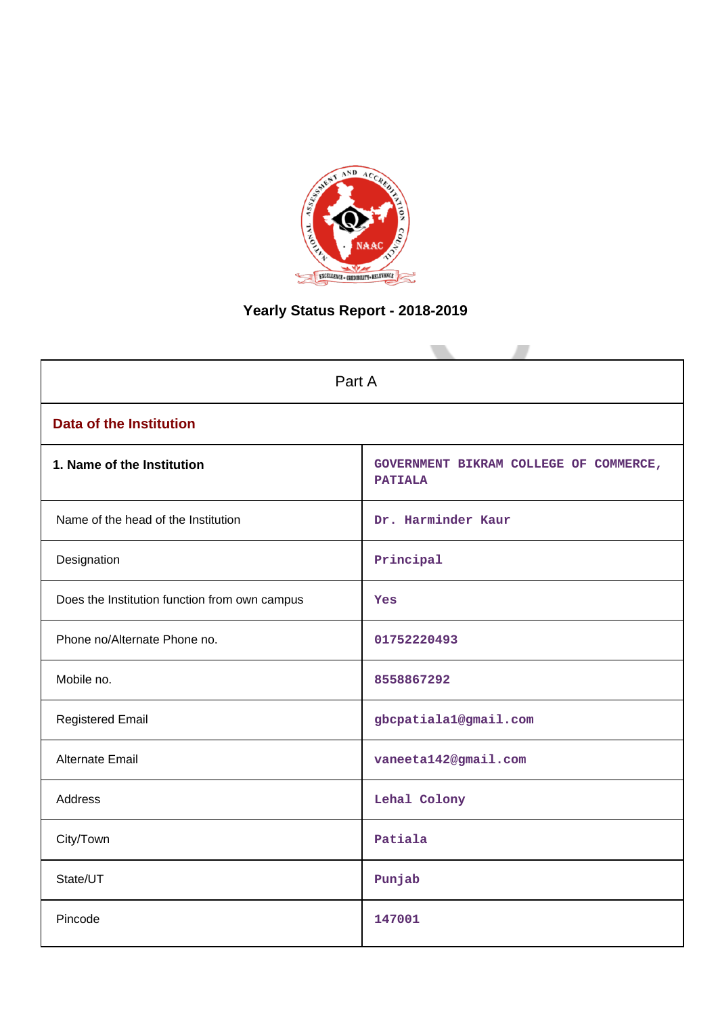

# **Yearly Status Report - 2018-2019**

| Part A                                        |                                                          |  |  |  |  |
|-----------------------------------------------|----------------------------------------------------------|--|--|--|--|
| <b>Data of the Institution</b>                |                                                          |  |  |  |  |
| 1. Name of the Institution                    | GOVERNMENT BIKRAM COLLEGE OF COMMERCE,<br><b>PATIALA</b> |  |  |  |  |
| Name of the head of the Institution           | Dr. Harminder Kaur                                       |  |  |  |  |
| Designation                                   | Principal                                                |  |  |  |  |
| Does the Institution function from own campus | Yes                                                      |  |  |  |  |
| Phone no/Alternate Phone no.                  | 01752220493                                              |  |  |  |  |
| Mobile no.                                    | 8558867292                                               |  |  |  |  |
| <b>Registered Email</b>                       | gbcpatiala1@gmail.com                                    |  |  |  |  |
| Alternate Email                               | vaneeta142@gmail.com                                     |  |  |  |  |
| <b>Address</b>                                | Lehal Colony                                             |  |  |  |  |
| City/Town                                     | Patiala                                                  |  |  |  |  |
| State/UT                                      | Punjab                                                   |  |  |  |  |
| Pincode                                       | 147001                                                   |  |  |  |  |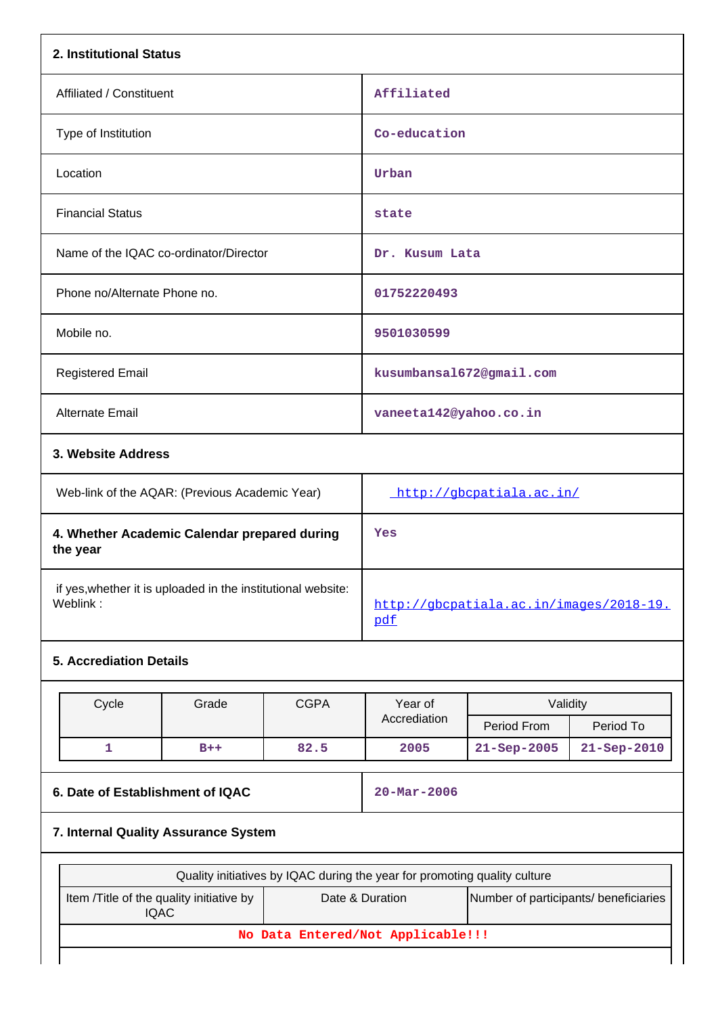| 2. Institutional Status                                                  |                                                                                                                     |             |                                                                           |                          |             |
|--------------------------------------------------------------------------|---------------------------------------------------------------------------------------------------------------------|-------------|---------------------------------------------------------------------------|--------------------------|-------------|
| Affiliated / Constituent                                                 |                                                                                                                     |             | Affiliated                                                                |                          |             |
| Type of Institution                                                      |                                                                                                                     |             | Co-education                                                              |                          |             |
| Location                                                                 |                                                                                                                     |             | Urban                                                                     |                          |             |
| <b>Financial Status</b>                                                  |                                                                                                                     |             | state                                                                     |                          |             |
| Name of the IQAC co-ordinator/Director                                   |                                                                                                                     |             | Dr. Kusum Lata                                                            |                          |             |
| Phone no/Alternate Phone no.                                             |                                                                                                                     |             | 01752220493                                                               |                          |             |
| Mobile no.                                                               |                                                                                                                     |             | 9501030599                                                                |                          |             |
| <b>Registered Email</b>                                                  |                                                                                                                     |             |                                                                           | kusumbansa1672@gmail.com |             |
| Alternate Email                                                          |                                                                                                                     |             | vaneeta142@yahoo.co.in                                                    |                          |             |
| 3. Website Address                                                       |                                                                                                                     |             |                                                                           |                          |             |
| Web-link of the AQAR: (Previous Academic Year)                           |                                                                                                                     |             | http://gbcpatiala.ac.in/                                                  |                          |             |
| the year                                                                 | 4. Whether Academic Calendar prepared during                                                                        |             | Yes                                                                       |                          |             |
| if yes, whether it is uploaded in the institutional website:<br>Weblink: |                                                                                                                     |             | http://gbcpatiala.ac.in/images/2018-19.<br>pdf                            |                          |             |
| <b>5. Accrediation Details</b>                                           |                                                                                                                     |             |                                                                           |                          |             |
| Cycle                                                                    | Grade                                                                                                               | <b>CGPA</b> | Year of                                                                   | Validity                 |             |
|                                                                          |                                                                                                                     |             | Accrediation                                                              | Period From              | Period To   |
| $\mathbf{1}$                                                             | $B++$                                                                                                               | 82.5        | 2005                                                                      | $21 - Sep - 2005$        | 21-Sep-2010 |
| 6. Date of Establishment of IQAC                                         |                                                                                                                     |             | $20 - \text{Mar} - 2006$                                                  |                          |             |
| 7. Internal Quality Assurance System                                     |                                                                                                                     |             |                                                                           |                          |             |
|                                                                          |                                                                                                                     |             | Quality initiatives by IQAC during the year for promoting quality culture |                          |             |
|                                                                          | Item /Title of the quality initiative by<br>Date & Duration<br>Number of participants/ beneficiaries<br><b>IQAC</b> |             |                                                                           |                          |             |
| No Data Entered/Not Applicable!!!                                        |                                                                                                                     |             |                                                                           |                          |             |
|                                                                          |                                                                                                                     |             |                                                                           |                          |             |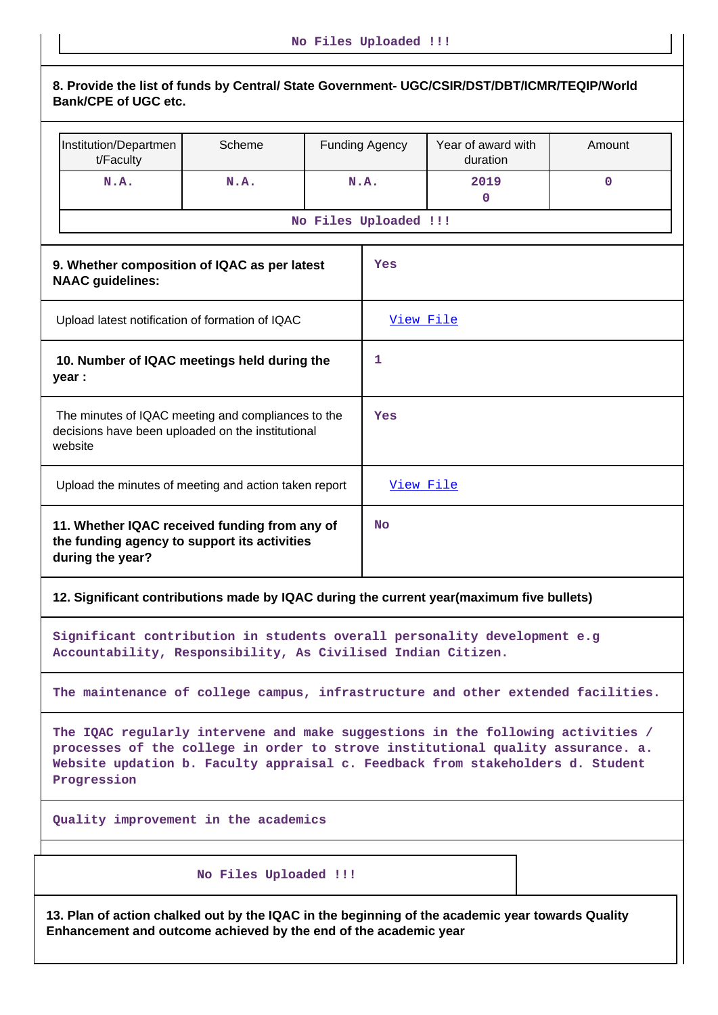| 8. Provide the list of funds by Central/ State Government- UGC/CSIR/DST/DBT/ICMR/TEQIP/World<br><b>Bank/CPE of UGC etc.</b>                                                                                                                                         |                                                                                                            |                                                         |                       |           |             |  |
|---------------------------------------------------------------------------------------------------------------------------------------------------------------------------------------------------------------------------------------------------------------------|------------------------------------------------------------------------------------------------------------|---------------------------------------------------------|-----------------------|-----------|-------------|--|
| Institution/Departmen<br>t/Faculty                                                                                                                                                                                                                                  | Scheme                                                                                                     | Year of award with<br><b>Funding Agency</b><br>duration |                       |           | Amount      |  |
| N.A.                                                                                                                                                                                                                                                                | N.A.                                                                                                       |                                                         | N.A.                  | 2019<br>0 | $\mathbf 0$ |  |
|                                                                                                                                                                                                                                                                     |                                                                                                            |                                                         | No Files Uploaded !!! |           |             |  |
| 9. Whether composition of IQAC as per latest<br>Yes<br><b>NAAC</b> guidelines:                                                                                                                                                                                      |                                                                                                            |                                                         |                       |           |             |  |
| Upload latest notification of formation of IQAC                                                                                                                                                                                                                     |                                                                                                            |                                                         | View File             |           |             |  |
| 10. Number of IQAC meetings held during the<br>1<br>year :                                                                                                                                                                                                          |                                                                                                            |                                                         |                       |           |             |  |
| The minutes of IQAC meeting and compliances to the<br>decisions have been uploaded on the institutional<br>website                                                                                                                                                  |                                                                                                            |                                                         | Yes                   |           |             |  |
|                                                                                                                                                                                                                                                                     | Upload the minutes of meeting and action taken report<br>View File                                         |                                                         |                       |           |             |  |
| during the year?                                                                                                                                                                                                                                                    | 11. Whether IQAC received funding from any of<br><b>No</b><br>the funding agency to support its activities |                                                         |                       |           |             |  |
| 12. Significant contributions made by IQAC during the current year(maximum five bullets)                                                                                                                                                                            |                                                                                                            |                                                         |                       |           |             |  |
| Significant contribution in students overall personality development e.g<br>Accountability, Responsibility, As Civilised Indian Citizen.                                                                                                                            |                                                                                                            |                                                         |                       |           |             |  |
| The maintenance of college campus, infrastructure and other extended facilities.                                                                                                                                                                                    |                                                                                                            |                                                         |                       |           |             |  |
| The IQAC regularly intervene and make suggestions in the following activities /<br>processes of the college in order to strove institutional quality assurance. a.<br>Website updation b. Faculty appraisal c. Feedback from stakeholders d. Student<br>Progression |                                                                                                            |                                                         |                       |           |             |  |
| Quality improvement in the academics                                                                                                                                                                                                                                |                                                                                                            |                                                         |                       |           |             |  |
| No Files Uploaded !!!                                                                                                                                                                                                                                               |                                                                                                            |                                                         |                       |           |             |  |
| 13. Plan of action chalked out by the IQAC in the beginning of the academic year towards Quality                                                                                                                                                                    |                                                                                                            |                                                         |                       |           |             |  |

**Enhancement and outcome achieved by the end of the academic year**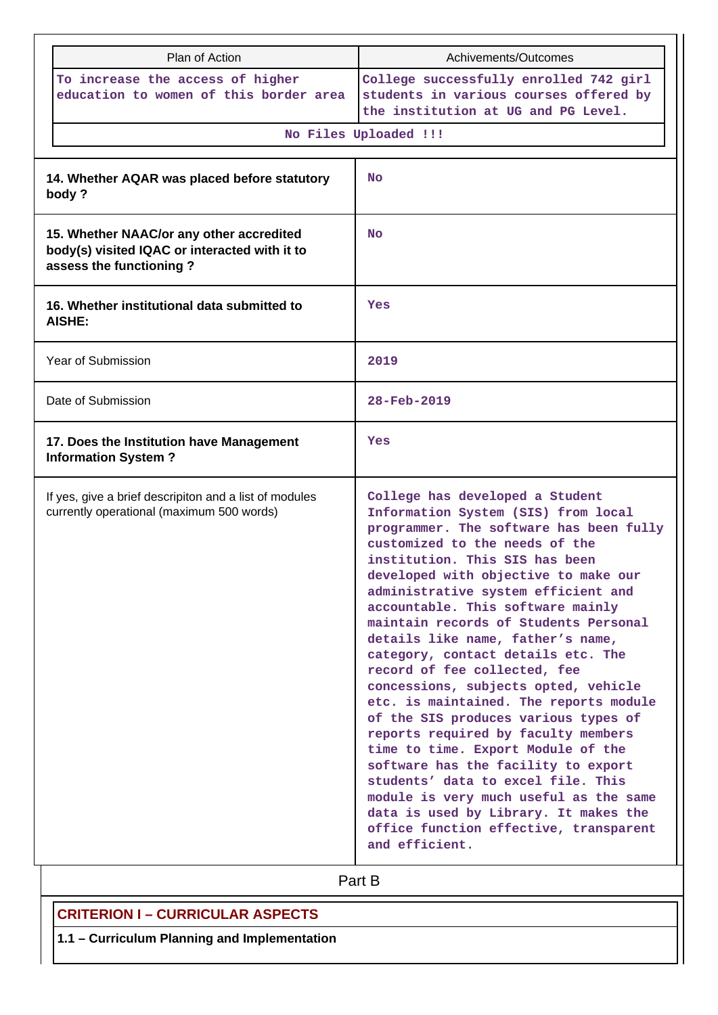|                                                                                                                      | Plan of Action                                                                                      | Achivements/Outcomes                                                                                                                                                                                                                                                                                                                                                                                                                                                                                                                                                                                                                                                                                                                                                                                                                                                                             |  |
|----------------------------------------------------------------------------------------------------------------------|-----------------------------------------------------------------------------------------------------|--------------------------------------------------------------------------------------------------------------------------------------------------------------------------------------------------------------------------------------------------------------------------------------------------------------------------------------------------------------------------------------------------------------------------------------------------------------------------------------------------------------------------------------------------------------------------------------------------------------------------------------------------------------------------------------------------------------------------------------------------------------------------------------------------------------------------------------------------------------------------------------------------|--|
|                                                                                                                      | To increase the access of higher<br>education to women of this border area                          | College successfully enrolled 742 girl<br>students in various courses offered by<br>the institution at UG and PG Level.                                                                                                                                                                                                                                                                                                                                                                                                                                                                                                                                                                                                                                                                                                                                                                          |  |
|                                                                                                                      |                                                                                                     | No Files Uploaded !!!                                                                                                                                                                                                                                                                                                                                                                                                                                                                                                                                                                                                                                                                                                                                                                                                                                                                            |  |
|                                                                                                                      | 14. Whether AQAR was placed before statutory<br>body?                                               | <b>No</b>                                                                                                                                                                                                                                                                                                                                                                                                                                                                                                                                                                                                                                                                                                                                                                                                                                                                                        |  |
| 15. Whether NAAC/or any other accredited<br>body(s) visited IQAC or interacted with it to<br>assess the functioning? |                                                                                                     | <b>No</b>                                                                                                                                                                                                                                                                                                                                                                                                                                                                                                                                                                                                                                                                                                                                                                                                                                                                                        |  |
| 16. Whether institutional data submitted to<br>AISHE:                                                                |                                                                                                     | Yes                                                                                                                                                                                                                                                                                                                                                                                                                                                                                                                                                                                                                                                                                                                                                                                                                                                                                              |  |
| Year of Submission                                                                                                   |                                                                                                     | 2019                                                                                                                                                                                                                                                                                                                                                                                                                                                                                                                                                                                                                                                                                                                                                                                                                                                                                             |  |
| Date of Submission                                                                                                   |                                                                                                     | 28-Feb-2019                                                                                                                                                                                                                                                                                                                                                                                                                                                                                                                                                                                                                                                                                                                                                                                                                                                                                      |  |
|                                                                                                                      | 17. Does the Institution have Management<br><b>Information System?</b>                              | Yes                                                                                                                                                                                                                                                                                                                                                                                                                                                                                                                                                                                                                                                                                                                                                                                                                                                                                              |  |
|                                                                                                                      | If yes, give a brief descripiton and a list of modules<br>currently operational (maximum 500 words) | College has developed a Student<br>Information System (SIS) from local<br>programmer. The software has been fully<br>customized to the needs of the<br>institution. This SIS has been<br>developed with objective to make our<br>administrative system efficient and<br>accountable. This software mainly<br>maintain records of Students Personal<br>details like name, father's name,<br>category, contact details etc. The<br>record of fee collected, fee<br>concessions, subjects opted, vehicle<br>etc. is maintained. The reports module<br>of the SIS produces various types of<br>reports required by faculty members<br>time to time. Export Module of the<br>software has the facility to export<br>students' data to excel file. This<br>module is very much useful as the same<br>data is used by Library. It makes the<br>office function effective, transparent<br>and efficient. |  |

Part B

# **CRITERION I – CURRICULAR ASPECTS**

**1.1 – Curriculum Planning and Implementation**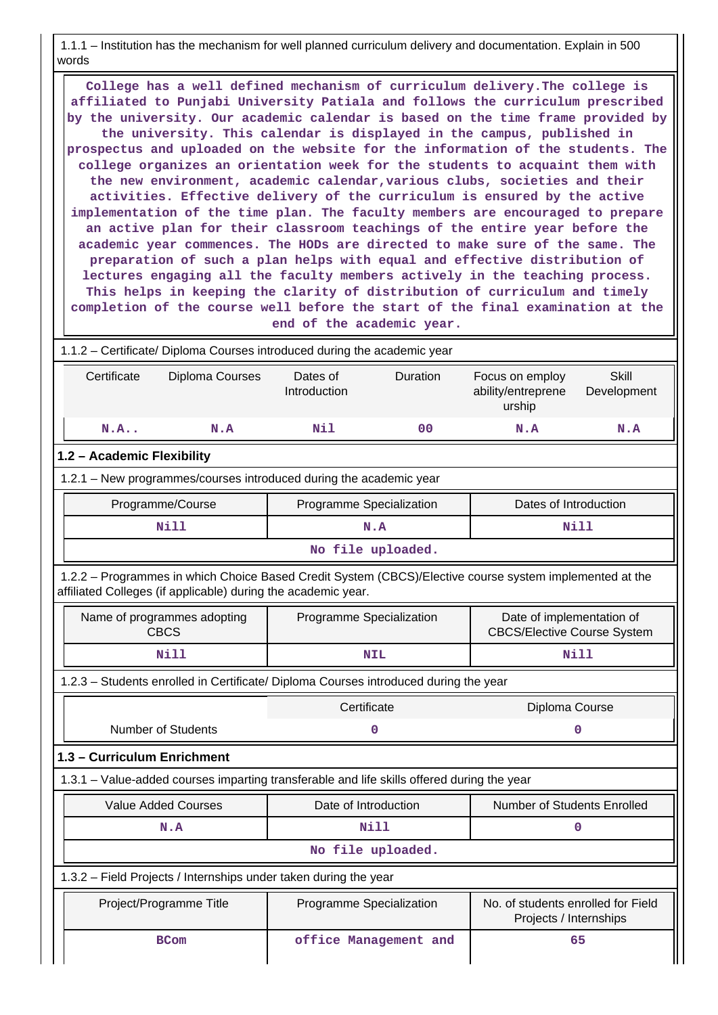1.1.1 – Institution has the mechanism for well planned curriculum delivery and documentation. Explain in 500 words

 **College has a well defined mechanism of curriculum delivery.The college is affiliated to Punjabi University Patiala and follows the curriculum prescribed by the university. Our academic calendar is based on the time frame provided by the university. This calendar is displayed in the campus, published in prospectus and uploaded on the website for the information of the students. The college organizes an orientation week for the students to acquaint them with the new environment, academic calendar,various clubs, societies and their activities. Effective delivery of the curriculum is ensured by the active implementation of the time plan. The faculty members are encouraged to prepare an active plan for their classroom teachings of the entire year before the academic year commences. The HODs are directed to make sure of the same. The preparation of such a plan helps with equal and effective distribution of lectures engaging all the faculty members actively in the teaching process. This helps in keeping the clarity of distribution of curriculum and timely completion of the course well before the start of the final examination at the end of the academic year.**

 1.1.2 – Certificate/ Diploma Courses introduced during the academic year Certificate Diploma Courses Dates of Introduction Duration Focus on employ ability/entreprene urship **Skill** Development  **N.A.. N.A Nil 00 N.A N.A 1.2 – Academic Flexibility** 1.2.1 – New programmes/courses introduced during the academic year Programme/Course | Programme Specialization | Dates of Introduction  **Nill N.A Nill No file uploaded.** 1.2.2 – Programmes in which Choice Based Credit System (CBCS)/Elective course system implemented at the affiliated Colleges (if applicable) during the academic year. Name of programmes adopting CBCS Programme Specialization | Date of implementation of CBCS/Elective Course System  **Nill NIL Nill** 1.2.3 – Students enrolled in Certificate/ Diploma Courses introduced during the year Certificate Diploma Course Number of Students **0 0 1.3 – Curriculum Enrichment** 1.3.1 – Value-added courses imparting transferable and life skills offered during the year Value Added Courses **Number of Students Enrolled** Date of Introduction **Number of Students Enrolled N.A** 0 **No file uploaded.**

 1.3.2 – Field Projects / Internships under taken during the year Project/Programme Title Programme Specialization No. of students enrolled for Field Projects / Internships **BCom b** office Management and **65**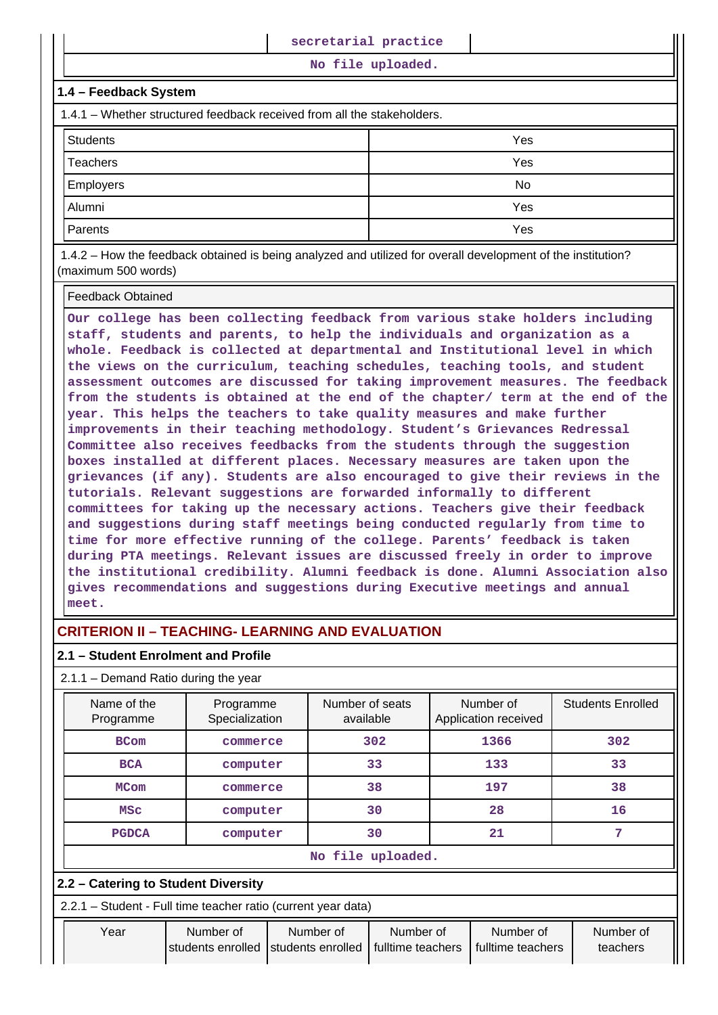**No file uploaded.**

### **1.4 – Feedback System**

1.4.1 – Whether structured feedback received from all the stakeholders.

| <b>Students</b>  | Yes |
|------------------|-----|
| Teachers         | Yes |
| <b>Employers</b> | No  |
| Alumni           | Yes |
| Parents          | Yes |

 1.4.2 – How the feedback obtained is being analyzed and utilized for overall development of the institution? (maximum 500 words)

### Feedback Obtained

**Our college has been collecting feedback from various stake holders including staff, students and parents, to help the individuals and organization as a whole. Feedback is collected at departmental and Institutional level in which the views on the curriculum, teaching schedules, teaching tools, and student assessment outcomes are discussed for taking improvement measures. The feedback from the students is obtained at the end of the chapter/ term at the end of the year. This helps the teachers to take quality measures and make further improvements in their teaching methodology. Student's Grievances Redressal Committee also receives feedbacks from the students through the suggestion boxes installed at different places. Necessary measures are taken upon the grievances (if any). Students are also encouraged to give their reviews in the tutorials. Relevant suggestions are forwarded informally to different committees for taking up the necessary actions. Teachers give their feedback and suggestions during staff meetings being conducted regularly from time to time for more effective running of the college. Parents' feedback is taken during PTA meetings. Relevant issues are discussed freely in order to improve the institutional credibility. Alumni feedback is done. Alumni Association also gives recommendations and suggestions during Executive meetings and annual meet.**

# **CRITERION II – TEACHING- LEARNING AND EVALUATION**

### **2.1 – Student Enrolment and Profile**

2.1.1 – Demand Ratio during the year

| Name of the<br>Programme | Programme<br>Specialization | Number of seats<br>available | Number of<br>Application received | <b>Students Enrolled</b> |  |  |
|--------------------------|-----------------------------|------------------------------|-----------------------------------|--------------------------|--|--|
| <b>BCom</b>              | commerce                    | 302                          | 1366                              | 302                      |  |  |
| <b>BCA</b>               | computer                    | 33                           | 133                               | 33                       |  |  |
| <b>MCom</b>              | commerce                    | 38                           | 197                               | 38                       |  |  |
| <b>MSC</b>               | computer                    | 30                           | 28                                | 16                       |  |  |
| <b>PGDCA</b>             | computer                    | 30                           | 21                                |                          |  |  |
|                          | No file uploaded.           |                              |                                   |                          |  |  |

### **2.2 – Catering to Student Diversity**

2.2.1 – Student - Full time teacher ratio (current year data)

| Year | Number of | Number of                                               | Number of | Number of         | Number of |
|------|-----------|---------------------------------------------------------|-----------|-------------------|-----------|
|      |           | students enrolled Students enrolled   fulltime teachers |           | fulltime teachers | teachers  |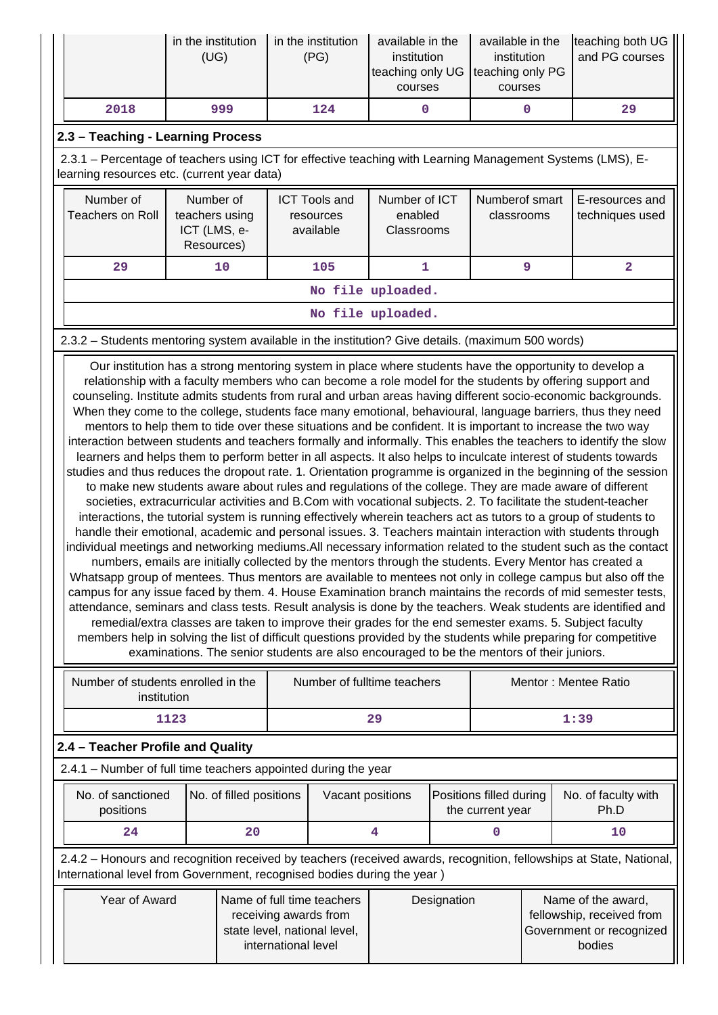|                                                                                                                                                                                                                                                                                                                                                                                                                                                                                                                                                                                                                                                                                                                                                                                                                                                                                                                                                                                                                                                                                                                                                                                                                                                                                                                                                                                                                                                                                                                                                                                                                                                                                                                                                                                                                                                                                                                                                                                                                                                                                                                                                                                                       | in the institution<br>(UG)                                                                                                                                | in the institution<br>(PG) | available in the<br>institution<br>teaching only UG<br>courses | available in the<br>institution<br>teaching only PG<br>courses | teaching both UG<br>and PG courses |  |
|-------------------------------------------------------------------------------------------------------------------------------------------------------------------------------------------------------------------------------------------------------------------------------------------------------------------------------------------------------------------------------------------------------------------------------------------------------------------------------------------------------------------------------------------------------------------------------------------------------------------------------------------------------------------------------------------------------------------------------------------------------------------------------------------------------------------------------------------------------------------------------------------------------------------------------------------------------------------------------------------------------------------------------------------------------------------------------------------------------------------------------------------------------------------------------------------------------------------------------------------------------------------------------------------------------------------------------------------------------------------------------------------------------------------------------------------------------------------------------------------------------------------------------------------------------------------------------------------------------------------------------------------------------------------------------------------------------------------------------------------------------------------------------------------------------------------------------------------------------------------------------------------------------------------------------------------------------------------------------------------------------------------------------------------------------------------------------------------------------------------------------------------------------------------------------------------------------|-----------------------------------------------------------------------------------------------------------------------------------------------------------|----------------------------|----------------------------------------------------------------|----------------------------------------------------------------|------------------------------------|--|
| 2018                                                                                                                                                                                                                                                                                                                                                                                                                                                                                                                                                                                                                                                                                                                                                                                                                                                                                                                                                                                                                                                                                                                                                                                                                                                                                                                                                                                                                                                                                                                                                                                                                                                                                                                                                                                                                                                                                                                                                                                                                                                                                                                                                                                                  | 999                                                                                                                                                       | 124                        | 0                                                              | 0                                                              | 29                                 |  |
| 2.3 - Teaching - Learning Process                                                                                                                                                                                                                                                                                                                                                                                                                                                                                                                                                                                                                                                                                                                                                                                                                                                                                                                                                                                                                                                                                                                                                                                                                                                                                                                                                                                                                                                                                                                                                                                                                                                                                                                                                                                                                                                                                                                                                                                                                                                                                                                                                                     |                                                                                                                                                           |                            |                                                                |                                                                |                                    |  |
|                                                                                                                                                                                                                                                                                                                                                                                                                                                                                                                                                                                                                                                                                                                                                                                                                                                                                                                                                                                                                                                                                                                                                                                                                                                                                                                                                                                                                                                                                                                                                                                                                                                                                                                                                                                                                                                                                                                                                                                                                                                                                                                                                                                                       | 2.3.1 - Percentage of teachers using ICT for effective teaching with Learning Management Systems (LMS), E-<br>learning resources etc. (current year data) |                            |                                                                |                                                                |                                    |  |
| Number of<br>Number of ICT<br>Number of<br><b>ICT Tools and</b><br>Numberof smart<br>E-resources and<br><b>Teachers on Roll</b><br>teachers using<br>enabled<br>classrooms<br>techniques used<br>resources<br>ICT (LMS, e-<br>available<br>Classrooms<br>Resources)                                                                                                                                                                                                                                                                                                                                                                                                                                                                                                                                                                                                                                                                                                                                                                                                                                                                                                                                                                                                                                                                                                                                                                                                                                                                                                                                                                                                                                                                                                                                                                                                                                                                                                                                                                                                                                                                                                                                   |                                                                                                                                                           |                            |                                                                |                                                                |                                    |  |
| 29                                                                                                                                                                                                                                                                                                                                                                                                                                                                                                                                                                                                                                                                                                                                                                                                                                                                                                                                                                                                                                                                                                                                                                                                                                                                                                                                                                                                                                                                                                                                                                                                                                                                                                                                                                                                                                                                                                                                                                                                                                                                                                                                                                                                    | 10                                                                                                                                                        | 105                        | $\mathbf{1}$                                                   | 9                                                              | $\overline{2}$                     |  |
|                                                                                                                                                                                                                                                                                                                                                                                                                                                                                                                                                                                                                                                                                                                                                                                                                                                                                                                                                                                                                                                                                                                                                                                                                                                                                                                                                                                                                                                                                                                                                                                                                                                                                                                                                                                                                                                                                                                                                                                                                                                                                                                                                                                                       |                                                                                                                                                           |                            | No file uploaded.                                              |                                                                |                                    |  |
|                                                                                                                                                                                                                                                                                                                                                                                                                                                                                                                                                                                                                                                                                                                                                                                                                                                                                                                                                                                                                                                                                                                                                                                                                                                                                                                                                                                                                                                                                                                                                                                                                                                                                                                                                                                                                                                                                                                                                                                                                                                                                                                                                                                                       |                                                                                                                                                           |                            | No file uploaded.                                              |                                                                |                                    |  |
|                                                                                                                                                                                                                                                                                                                                                                                                                                                                                                                                                                                                                                                                                                                                                                                                                                                                                                                                                                                                                                                                                                                                                                                                                                                                                                                                                                                                                                                                                                                                                                                                                                                                                                                                                                                                                                                                                                                                                                                                                                                                                                                                                                                                       |                                                                                                                                                           |                            |                                                                |                                                                |                                    |  |
| 2.3.2 - Students mentoring system available in the institution? Give details. (maximum 500 words)<br>Our institution has a strong mentoring system in place where students have the opportunity to develop a<br>relationship with a faculty members who can become a role model for the students by offering support and<br>counseling. Institute admits students from rural and urban areas having different socio-economic backgrounds.<br>When they come to the college, students face many emotional, behavioural, language barriers, thus they need<br>mentors to help them to tide over these situations and be confident. It is important to increase the two way<br>interaction between students and teachers formally and informally. This enables the teachers to identify the slow<br>learners and helps them to perform better in all aspects. It also helps to inculcate interest of students towards<br>studies and thus reduces the dropout rate. 1. Orientation programme is organized in the beginning of the session<br>to make new students aware about rules and regulations of the college. They are made aware of different<br>societies, extracurricular activities and B.Com with vocational subjects. 2. To facilitate the student-teacher<br>interactions, the tutorial system is running effectively wherein teachers act as tutors to a group of students to<br>handle their emotional, academic and personal issues. 3. Teachers maintain interaction with students through<br>individual meetings and networking mediums. All necessary information related to the student such as the contact<br>numbers, emails are initially collected by the mentors through the students. Every Mentor has created a<br>Whatsapp group of mentees. Thus mentors are available to mentees not only in college campus but also off the<br>campus for any issue faced by them. 4. House Examination branch maintains the records of mid semester tests,<br>attendance, seminars and class tests. Result analysis is done by the teachers. Weak students are identified and<br>remedial/extra classes are taken to improve their grades for the end semester exams. 5. Subject faculty |                                                                                                                                                           |                            |                                                                |                                                                |                                    |  |

members help in solving the list of difficult questions provided by the students while preparing for competitive examinations. The senior students are also encouraged to be the mentors of their juniors.

| Number of students enrolled in the<br>institution | Number of fulltime teachers | Mentor: Mentee Ratio |
|---------------------------------------------------|-----------------------------|----------------------|
| 1123                                              | 29                          | 1:39                 |

# **2.4 – Teacher Profile and Quality**

| 2.4.1 - Number of full time teachers appointed during the year |  |
|----------------------------------------------------------------|--|
|----------------------------------------------------------------|--|

| No. of sanctioned<br>positions | No. of filled positions | Vacant positions | Positions filled during<br>the current year | No. of faculty with<br>Ph.D |
|--------------------------------|-------------------------|------------------|---------------------------------------------|-----------------------------|
| 24                             | 20                      |                  |                                             | 10                          |

 2.4.2 – Honours and recognition received by teachers (received awards, recognition, fellowships at State, National, International level from Government, recognised bodies during the year )

| Year of Award | Name of full time teachers<br>receiving awards from<br>state level, national level, | Designation | Name of the award,<br>fellowship, received from<br>Government or recognized |
|---------------|-------------------------------------------------------------------------------------|-------------|-----------------------------------------------------------------------------|
|               | international level                                                                 |             | bodies                                                                      |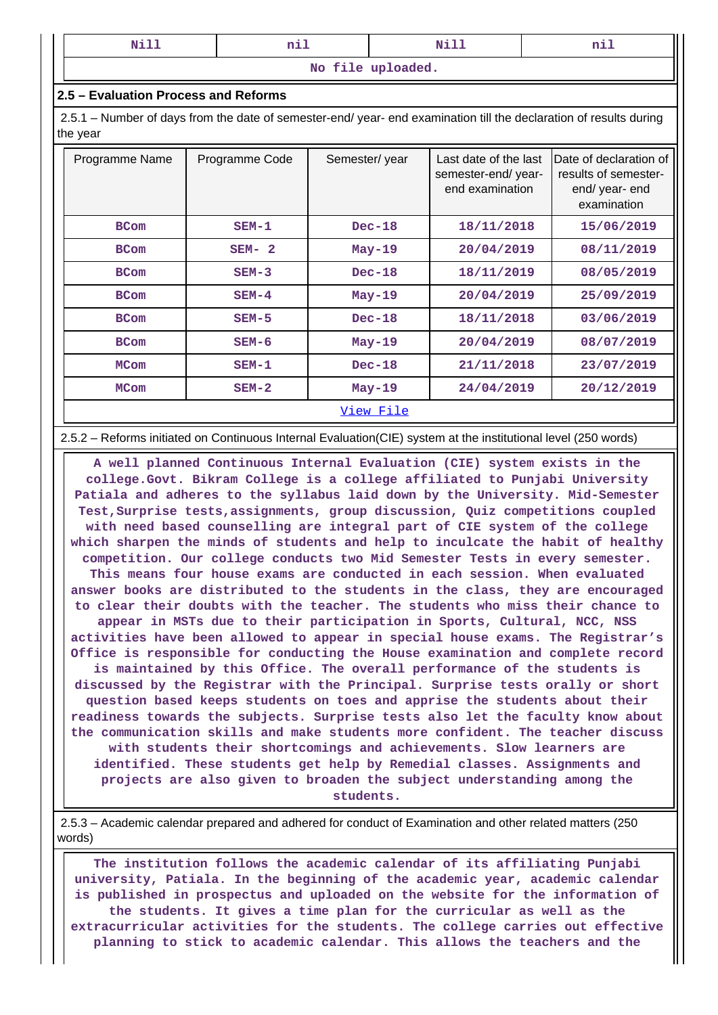| -----<br>NT.<br>$\cdots$ | --<br>---- | __<br>N<br>----- | --<br>----- |
|--------------------------|------------|------------------|-------------|
|--------------------------|------------|------------------|-------------|

**No file uploaded.**

### **2.5 – Evaluation Process and Reforms**

 2.5.1 – Number of days from the date of semester-end/ year- end examination till the declaration of results during the year

| Programme Name | Programme Code | Semester/year    | Last date of the last<br>semester-end/year-<br>end examination | IDate of declaration of<br>results of semester-<br>end/ year- end<br>examination |
|----------------|----------------|------------------|----------------------------------------------------------------|----------------------------------------------------------------------------------|
| <b>BCom</b>    | $SEM-1$        | $Dec-18$         | 18/11/2018                                                     | 15/06/2019                                                                       |
| <b>BCom</b>    | $SEM-2$        | $May-19$         | 20/04/2019                                                     | 08/11/2019                                                                       |
| <b>BCom</b>    | $SEM-3$        | $Dec-18$         | 18/11/2019                                                     | 08/05/2019                                                                       |
| <b>BCom</b>    | $SEM-4$        | $May-19$         | 20/04/2019                                                     | 25/09/2019                                                                       |
| <b>BCom</b>    | $SEM-5$        | $Dec-18$         | 18/11/2018                                                     | 03/06/2019                                                                       |
| <b>BCom</b>    | $SEM-6$        | $May-19$         | 20/04/2019                                                     | 08/07/2019                                                                       |
| <b>MCom</b>    | $SEM-1$        | $Dec-18$         | 21/11/2018                                                     | 23/07/2019                                                                       |
| <b>MCom</b>    | $SEM-2$        | $May-19$         | 24/04/2019                                                     | 20/12/2019                                                                       |
|                |                | <u>View File</u> |                                                                |                                                                                  |

#### 2.5.2 – Reforms initiated on Continuous Internal Evaluation(CIE) system at the institutional level (250 words)

 **A well planned Continuous Internal Evaluation (CIE) system exists in the college.Govt. Bikram College is a college affiliated to Punjabi University Patiala and adheres to the syllabus laid down by the University. Mid-Semester Test,Surprise tests,assignments, group discussion, Quiz competitions coupled with need based counselling are integral part of CIE system of the college which sharpen the minds of students and help to inculcate the habit of healthy competition. Our college conducts two Mid Semester Tests in every semester. This means four house exams are conducted in each session. When evaluated answer books are distributed to the students in the class, they are encouraged to clear their doubts with the teacher. The students who miss their chance to appear in MSTs due to their participation in Sports, Cultural, NCC, NSS activities have been allowed to appear in special house exams. The Registrar's Office is responsible for conducting the House examination and complete record is maintained by this Office. The overall performance of the students is discussed by the Registrar with the Principal. Surprise tests orally or short question based keeps students on toes and apprise the students about their readiness towards the subjects. Surprise tests also let the faculty know about the communication skills and make students more confident. The teacher discuss with students their shortcomings and achievements. Slow learners are identified. These students get help by Remedial classes. Assignments and projects are also given to broaden the subject understanding among the students.**

 2.5.3 – Academic calendar prepared and adhered for conduct of Examination and other related matters (250 words)

 **The institution follows the academic calendar of its affiliating Punjabi university, Patiala. In the beginning of the academic year, academic calendar is published in prospectus and uploaded on the website for the information of the students. It gives a time plan for the curricular as well as the extracurricular activities for the students. The college carries out effective planning to stick to academic calendar. This allows the teachers and the**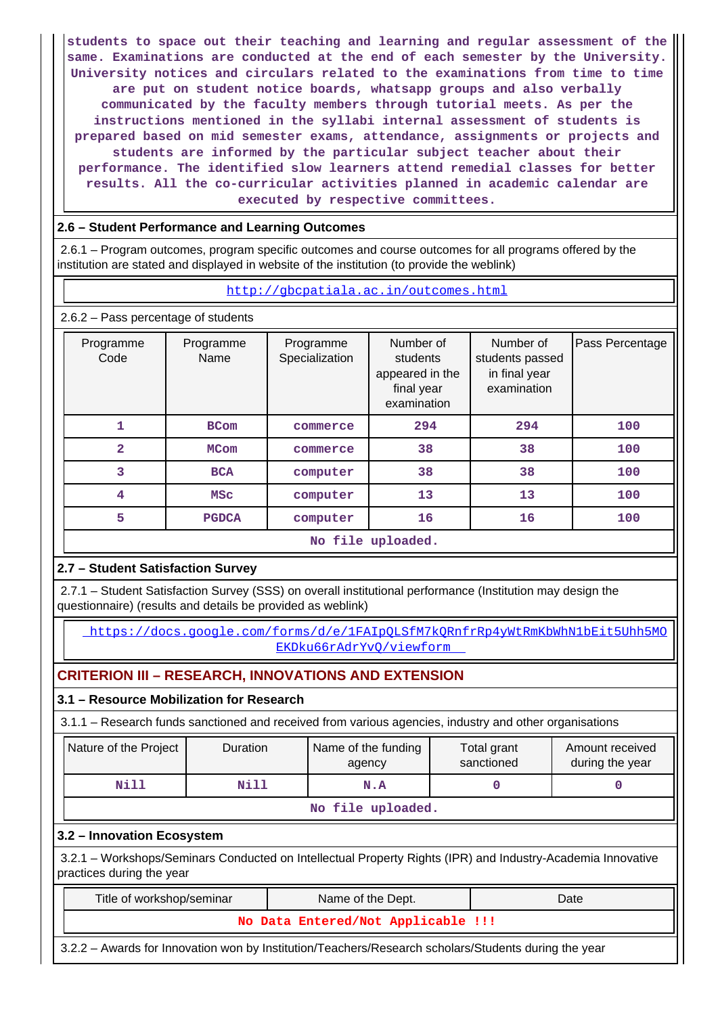**students to space out their teaching and learning and regular assessment of the same. Examinations are conducted at the end of each semester by the University. University notices and circulars related to the examinations from time to time are put on student notice boards, whatsapp groups and also verbally communicated by the faculty members through tutorial meets. As per the instructions mentioned in the syllabi internal assessment of students is prepared based on mid semester exams, attendance, assignments or projects and students are informed by the particular subject teacher about their performance. The identified slow learners attend remedial classes for better results. All the co-curricular activities planned in academic calendar are executed by respective committees.**

# **2.6 – Student Performance and Learning Outcomes**

 2.6.1 – Program outcomes, program specific outcomes and course outcomes for all programs offered by the institution are stated and displayed in website of the institution (to provide the weblink)

### <http://gbcpatiala.ac.in/outcomes.html>

2.6.2 – Pass percentage of students

| Programme<br>Code | Programme<br>Name | Programme<br>Specialization | Number of<br>students<br>appeared in the<br>final year<br>examination | Number of<br>students passed<br>in final year<br>examination | Pass Percentage |
|-------------------|-------------------|-----------------------------|-----------------------------------------------------------------------|--------------------------------------------------------------|-----------------|
|                   | <b>BCom</b>       | commerce                    | 294                                                                   | 294                                                          | 100             |
| $\overline{2}$    | <b>MCom</b>       | commerce                    | 38                                                                    | 38                                                           | 100             |
| 3                 | <b>BCA</b>        | computer                    | 38                                                                    | 38                                                           | 100             |
| 4                 | <b>MSC</b>        | computer                    | 13                                                                    | 13                                                           | 100             |
| 5                 | <b>PGDCA</b>      | computer                    | 16                                                                    | 16                                                           | 100             |

### **No file uploaded.**

# **2.7 – Student Satisfaction Survey**

 2.7.1 – Student Satisfaction Survey (SSS) on overall institutional performance (Institution may design the questionnaire) (results and details be provided as weblink)

 [https://docs.google.com/forms/d/e/1FAIpQLSfM7kQRnfrRp4yWtRmKbWhN1bEit5Uhh5MO](https://docs.google.com/forms/d/e/1FAIpQLSfM7kQRnfrRp4yWtRmKbWhN1bEit5Uhh5MOEKDku66rAdrYvQ/viewform) [EKDku66rAdrYvQ/viewform](https://docs.google.com/forms/d/e/1FAIpQLSfM7kQRnfrRp4yWtRmKbWhN1bEit5Uhh5MOEKDku66rAdrYvQ/viewform) 

# **CRITERION III – RESEARCH, INNOVATIONS AND EXTENSION**

# **3.1 – Resource Mobilization for Research**

3.1.1 – Research funds sanctioned and received from various agencies, industry and other organisations

| Nature of the Project | <b>Duration</b> | Name of the funding<br>agency | Total grant<br>sanctioned | Amount received<br>during the year |  |  |  |  |  |  |
|-----------------------|-----------------|-------------------------------|---------------------------|------------------------------------|--|--|--|--|--|--|
| Nill                  | Nill<br>N.A     |                               |                           |                                    |  |  |  |  |  |  |
| No file uploaded.     |                 |                               |                           |                                    |  |  |  |  |  |  |

# **3.2 – Innovation Ecosystem**

 3.2.1 – Workshops/Seminars Conducted on Intellectual Property Rights (IPR) and Industry-Academia Innovative practices during the year

| Title of workshop/seminar          | Name of the Dept. | Date |
|------------------------------------|-------------------|------|
| No Data Entered/Not Applicable !!! |                   |      |
|                                    |                   |      |

3.2.2 – Awards for Innovation won by Institution/Teachers/Research scholars/Students during the year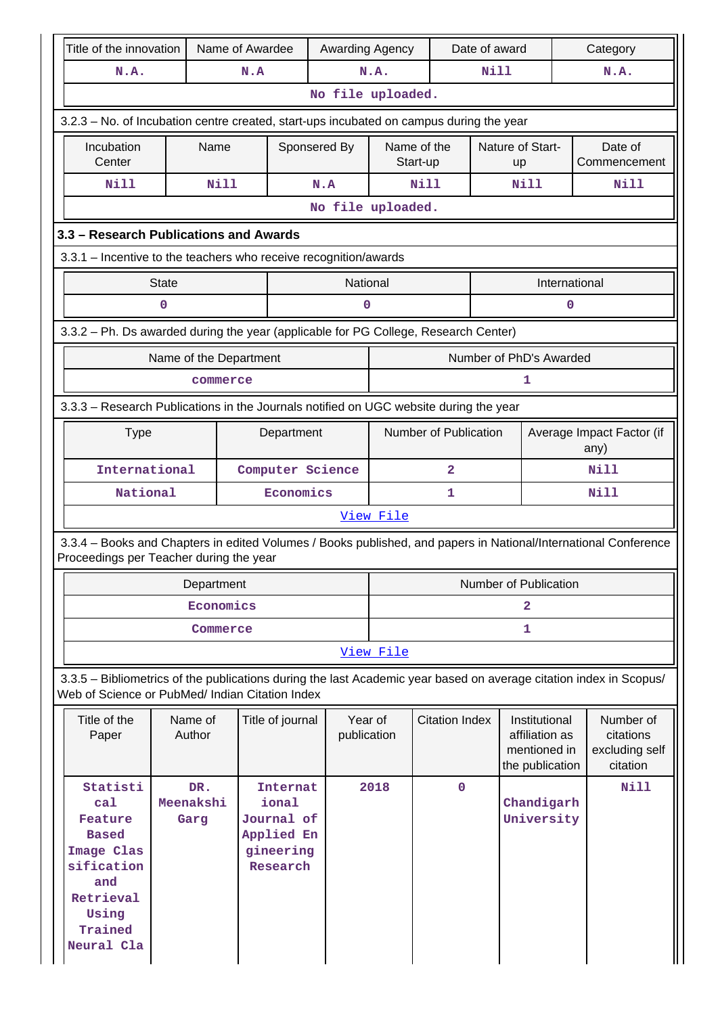| Title of the innovation                                                                                                                                               |                          | Name of Awardee |                                                                               | Awarding Agency        |           |                         | Date of award |                                                                    | Category      |                                                                                                                 |
|-----------------------------------------------------------------------------------------------------------------------------------------------------------------------|--------------------------|-----------------|-------------------------------------------------------------------------------|------------------------|-----------|-------------------------|---------------|--------------------------------------------------------------------|---------------|-----------------------------------------------------------------------------------------------------------------|
| N.A.                                                                                                                                                                  |                          | N.A             |                                                                               |                        | N.A.      |                         | Nill          |                                                                    |               | N.A.                                                                                                            |
|                                                                                                                                                                       | No file uploaded.        |                 |                                                                               |                        |           |                         |               |                                                                    |               |                                                                                                                 |
| 3.2.3 - No. of Incubation centre created, start-ups incubated on campus during the year                                                                               |                          |                 |                                                                               |                        |           |                         |               |                                                                    |               |                                                                                                                 |
| Incubation<br>Center                                                                                                                                                  |                          | Name            | Sponsered By                                                                  |                        |           | Name of the<br>Start-up |               | Nature of Start-<br>up                                             |               | Date of<br>Commencement                                                                                         |
| <b>Nill</b>                                                                                                                                                           |                          | <b>Nill</b>     |                                                                               | N.A                    |           | <b>Nill</b>             |               | Nill                                                               |               | Nill                                                                                                            |
|                                                                                                                                                                       |                          |                 |                                                                               | No file uploaded.      |           |                         |               |                                                                    |               |                                                                                                                 |
| 3.3 - Research Publications and Awards                                                                                                                                |                          |                 |                                                                               |                        |           |                         |               |                                                                    |               |                                                                                                                 |
| 3.3.1 - Incentive to the teachers who receive recognition/awards                                                                                                      |                          |                 |                                                                               |                        |           |                         |               |                                                                    |               |                                                                                                                 |
|                                                                                                                                                                       | <b>State</b>             |                 |                                                                               | National               |           |                         |               |                                                                    | International |                                                                                                                 |
|                                                                                                                                                                       | 0                        |                 |                                                                               | 0                      |           |                         |               |                                                                    | 0             |                                                                                                                 |
| 3.3.2 - Ph. Ds awarded during the year (applicable for PG College, Research Center)                                                                                   |                          |                 |                                                                               |                        |           |                         |               |                                                                    |               |                                                                                                                 |
|                                                                                                                                                                       | Name of the Department   |                 |                                                                               |                        |           |                         |               | Number of PhD's Awarded                                            |               |                                                                                                                 |
|                                                                                                                                                                       | 1<br>commerce            |                 |                                                                               |                        |           |                         |               |                                                                    |               |                                                                                                                 |
| 3.3.3 - Research Publications in the Journals notified on UGC website during the year                                                                                 |                          |                 |                                                                               |                        |           |                         |               |                                                                    |               |                                                                                                                 |
| Number of Publication<br>Department<br>Average Impact Factor (if<br><b>Type</b><br>any)                                                                               |                          |                 |                                                                               |                        |           |                         |               |                                                                    |               |                                                                                                                 |
| International<br>Computer Science<br>2                                                                                                                                |                          |                 |                                                                               |                        |           |                         |               |                                                                    | Nill          |                                                                                                                 |
| National                                                                                                                                                              |                          |                 | Economics                                                                     |                        |           | 1                       |               |                                                                    |               | Nill                                                                                                            |
|                                                                                                                                                                       |                          |                 |                                                                               |                        | View File |                         |               |                                                                    |               |                                                                                                                 |
| Proceedings per Teacher during the year                                                                                                                               |                          |                 |                                                                               |                        |           |                         |               |                                                                    |               | 3.3.4 – Books and Chapters in edited Volumes / Books published, and papers in National/International Conference |
|                                                                                                                                                                       |                          | Department      |                                                                               |                        |           |                         |               | Number of Publication                                              |               |                                                                                                                 |
|                                                                                                                                                                       |                          | Economics       |                                                                               |                        |           |                         |               | $\overline{a}$                                                     |               |                                                                                                                 |
|                                                                                                                                                                       |                          | Commerce        |                                                                               |                        | 1         |                         |               |                                                                    |               |                                                                                                                 |
|                                                                                                                                                                       |                          |                 |                                                                               |                        | View File |                         |               |                                                                    |               |                                                                                                                 |
| 3.3.5 - Bibliometrics of the publications during the last Academic year based on average citation index in Scopus/<br>Web of Science or PubMed/ Indian Citation Index |                          |                 |                                                                               |                        |           |                         |               |                                                                    |               |                                                                                                                 |
| Title of the<br>Paper                                                                                                                                                 | Name of<br>Author        |                 | Title of journal                                                              | Year of<br>publication |           | <b>Citation Index</b>   |               | Institutional<br>affiliation as<br>mentioned in<br>the publication |               | Number of<br>citations<br>excluding self<br>citation                                                            |
| Statisti<br>ca1<br>Feature<br><b>Based</b><br>Image Clas<br>sification<br>and<br>Retrieval<br>Using<br>Trained<br>Neural Cla                                          | DR.<br>Meenakshi<br>Garg |                 | <b>Internat</b><br>ional<br>Journal of<br>Applied En<br>gineering<br>Research |                        | 2018      | $\Omega$                |               | Chandigarh<br>University                                           |               | Nill                                                                                                            |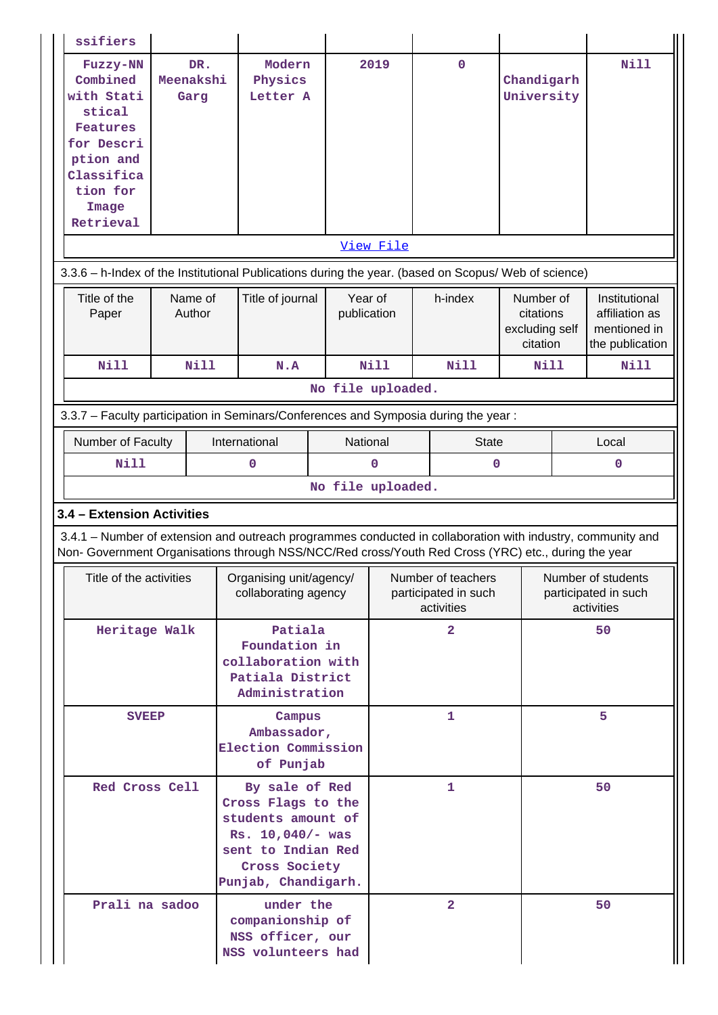| ssifiers                                                                                                                                                                                                           |                                                                                                       |                          |                                                                         |  |                        |             |                                                          |                                                      |                                                          |                                                                    |  |
|--------------------------------------------------------------------------------------------------------------------------------------------------------------------------------------------------------------------|-------------------------------------------------------------------------------------------------------|--------------------------|-------------------------------------------------------------------------|--|------------------------|-------------|----------------------------------------------------------|------------------------------------------------------|----------------------------------------------------------|--------------------------------------------------------------------|--|
| Fuzzy-NN<br>Combined<br>with Stati<br>stical<br><b>Features</b><br>for Descri<br>ption and<br>Classifica<br>tion for<br>Image<br>Retrieval                                                                         |                                                                                                       | DR.<br>Meenakshi<br>Garg | Modern<br>Physics<br>Letter A                                           |  |                        | 2019        | $\mathbf 0$                                              | Chandigarh<br>University                             |                                                          | Nill                                                               |  |
|                                                                                                                                                                                                                    |                                                                                                       |                          |                                                                         |  |                        | View File   |                                                          |                                                      |                                                          |                                                                    |  |
| 3.3.6 - h-Index of the Institutional Publications during the year. (based on Scopus/ Web of science)                                                                                                               |                                                                                                       |                          |                                                                         |  |                        |             |                                                          |                                                      |                                                          |                                                                    |  |
| Title of the<br>Paper                                                                                                                                                                                              |                                                                                                       | Name of<br>Author        | Title of journal                                                        |  | Year of<br>publication |             | h-index                                                  | Number of<br>citations<br>excluding self<br>citation |                                                          | Institutional<br>affiliation as<br>mentioned in<br>the publication |  |
| <b>Nill</b>                                                                                                                                                                                                        |                                                                                                       | <b>Nill</b>              | N.A                                                                     |  |                        | Nill        | <b>Nill</b>                                              | Nill                                                 |                                                          | Nill                                                               |  |
|                                                                                                                                                                                                                    |                                                                                                       |                          |                                                                         |  | No file uploaded.      |             |                                                          |                                                      |                                                          |                                                                    |  |
| 3.3.7 - Faculty participation in Seminars/Conferences and Symposia during the year:                                                                                                                                |                                                                                                       |                          |                                                                         |  |                        |             |                                                          |                                                      |                                                          |                                                                    |  |
| Number of Faculty<br><b>Nill</b>                                                                                                                                                                                   |                                                                                                       |                          | International<br>0                                                      |  | National               | $\mathbf 0$ | <b>State</b><br>$\mathbf 0$                              |                                                      |                                                          | Local<br>0                                                         |  |
|                                                                                                                                                                                                                    |                                                                                                       |                          |                                                                         |  | No file uploaded.      |             |                                                          |                                                      |                                                          |                                                                    |  |
| 3.4 - Extension Activities                                                                                                                                                                                         |                                                                                                       |                          |                                                                         |  |                        |             |                                                          |                                                      |                                                          |                                                                    |  |
| 3.4.1 - Number of extension and outreach programmes conducted in collaboration with industry, community and<br>Non- Government Organisations through NSS/NCC/Red cross/Youth Red Cross (YRC) etc., during the year |                                                                                                       |                          |                                                                         |  |                        |             |                                                          |                                                      |                                                          |                                                                    |  |
| Title of the activities                                                                                                                                                                                            |                                                                                                       |                          | Organising unit/agency/<br>collaborating agency                         |  |                        |             | Number of teachers<br>participated in such<br>activities |                                                      | Number of students<br>participated in such<br>activities |                                                                    |  |
|                                                                                                                                                                                                                    | Heritage Walk<br>Patiala<br>Foundation in<br>collaboration with<br>Patiala District<br>Administration |                          |                                                                         |  |                        |             | $\overline{2}$                                           |                                                      | 50                                                       |                                                                    |  |
|                                                                                                                                                                                                                    | Campus<br><b>SVEEP</b><br>Ambassador,<br>Election Commission<br>of Punjab                             |                          |                                                                         |  |                        | 1           |                                                          |                                                      | 5                                                        |                                                                    |  |
| Red Cross Cell<br>By sale of Red<br>Cross Flags to the<br>students amount of<br>Rs. 10,040/- was<br>sent to Indian Red<br>Cross Society<br>Punjab, Chandigarh.                                                     |                                                                                                       |                          |                                                                         |  |                        | 1           |                                                          |                                                      | 50                                                       |                                                                    |  |
| Prali na sadoo                                                                                                                                                                                                     |                                                                                                       |                          | under the<br>companionship of<br>NSS officer, our<br>NSS volunteers had |  |                        |             | $\overline{\mathbf{2}}$                                  |                                                      |                                                          | 50                                                                 |  |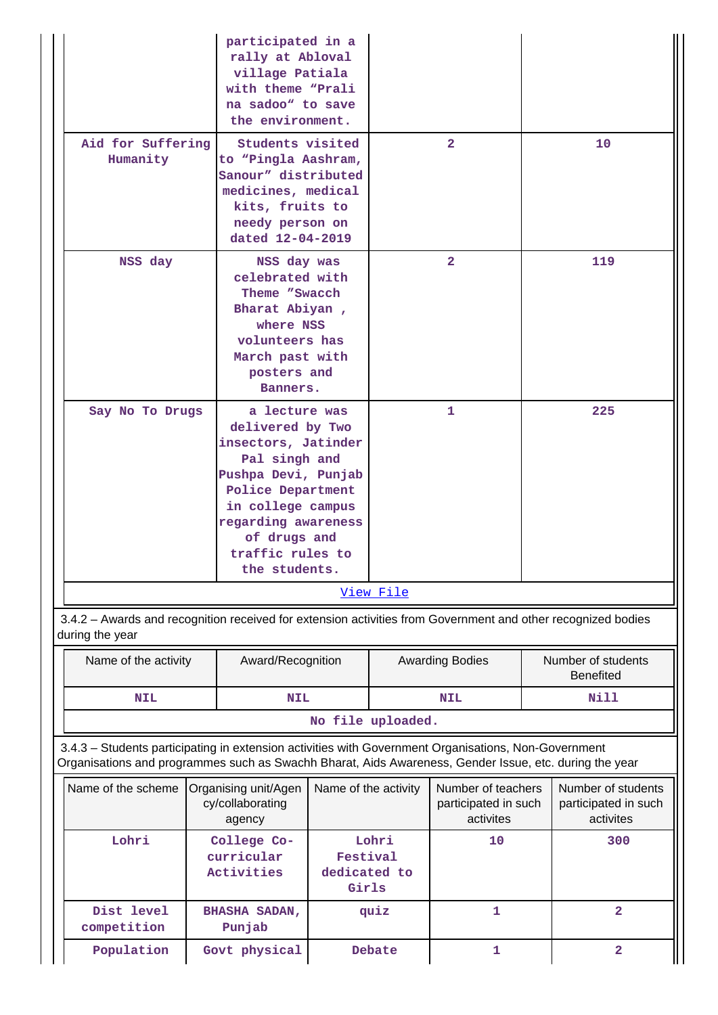|                                                                                                                                                                                                                | participated in a<br>rally at Abloval<br>village Patiala<br>with theme "Prali<br>na sadoo" to save<br>the environment.                                                                                                 |                      |           |                                                         |                                                         |                                        |  |
|----------------------------------------------------------------------------------------------------------------------------------------------------------------------------------------------------------------|------------------------------------------------------------------------------------------------------------------------------------------------------------------------------------------------------------------------|----------------------|-----------|---------------------------------------------------------|---------------------------------------------------------|----------------------------------------|--|
| Aid for Suffering<br>Humanity                                                                                                                                                                                  | Students visited<br>to "Pingla Aashram,<br>Sanour" distributed<br>medicines, medical<br>kits, fruits to<br>needy person on<br>dated 12-04-2019                                                                         |                      |           | $\overline{2}$                                          | 10                                                      |                                        |  |
| NSS day                                                                                                                                                                                                        | NSS day was<br>celebrated with<br>Theme "Swacch<br>Bharat Abiyan,<br>where NSS<br>volunteers has<br>March past with<br>posters and<br>Banners.                                                                         |                      |           | $\overline{2}$                                          |                                                         | 119                                    |  |
| Say No To Drugs                                                                                                                                                                                                | a lecture was<br>delivered by Two<br>insectors, Jatinder<br>Pal singh and<br>Pushpa Devi, Punjab<br>Police Department<br>in college campus<br>regarding awareness<br>of drugs and<br>traffic rules to<br>the students. |                      |           | 1                                                       |                                                         | 225                                    |  |
|                                                                                                                                                                                                                |                                                                                                                                                                                                                        |                      | View File |                                                         |                                                         |                                        |  |
| 3.4.2 - Awards and recognition received for extension activities from Government and other recognized bodies<br>during the year                                                                                |                                                                                                                                                                                                                        |                      |           |                                                         |                                                         |                                        |  |
| Name of the activity                                                                                                                                                                                           | Award/Recognition                                                                                                                                                                                                      |                      |           | <b>Awarding Bodies</b>                                  |                                                         | Number of students<br><b>Benefited</b> |  |
| <b>NIL</b>                                                                                                                                                                                                     | <b>NIL</b>                                                                                                                                                                                                             |                      |           | <b>NIL</b>                                              |                                                         | Nill                                   |  |
|                                                                                                                                                                                                                |                                                                                                                                                                                                                        | No file uploaded.    |           |                                                         |                                                         |                                        |  |
| 3.4.3 - Students participating in extension activities with Government Organisations, Non-Government<br>Organisations and programmes such as Swachh Bharat, Aids Awareness, Gender Issue, etc. during the year |                                                                                                                                                                                                                        |                      |           |                                                         |                                                         |                                        |  |
| Name of the scheme                                                                                                                                                                                             | Organising unit/Agen<br>cy/collaborating<br>agency                                                                                                                                                                     | Name of the activity |           | Number of teachers<br>participated in such<br>activites | Number of students<br>participated in such<br>activites |                                        |  |

 **Lohri Festival dedicated to Girls**

Population Govt physical Debate 1 2

 **10 300**

 **quiz 1 2**

 **Lohri College Co-**

 **Dist level competition**

**curricular Activities**

 **BHASHA SADAN, Punjab**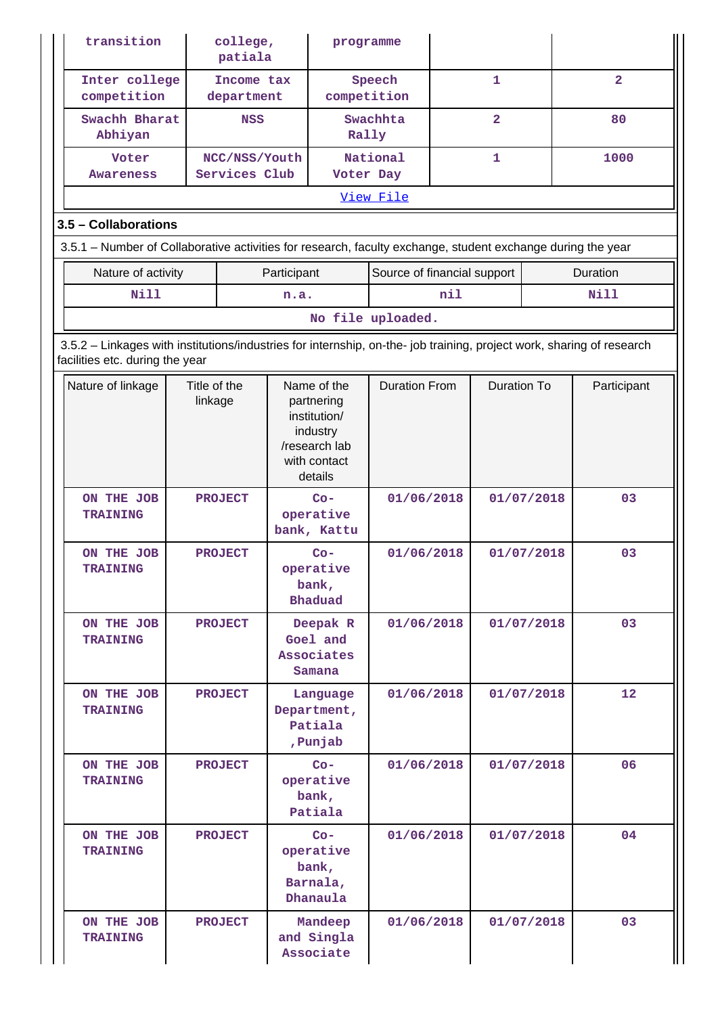| transition                                                                                                                                               |                         | college,<br>patiala            |             | programme                                                                                         |                             |                    |                         |            |          |                |  |    |
|----------------------------------------------------------------------------------------------------------------------------------------------------------|-------------------------|--------------------------------|-------------|---------------------------------------------------------------------------------------------------|-----------------------------|--------------------|-------------------------|------------|----------|----------------|--|----|
| Inter college<br>competition                                                                                                                             |                         | Income tax<br>department       |             | competition                                                                                       | Speech                      |                    | $\mathbf{1}$            |            |          | $\overline{2}$ |  |    |
| Swachh Bharat<br>Abhiyan                                                                                                                                 |                         | <b>NSS</b>                     |             | Rally                                                                                             | Swachhta                    |                    | $\overline{\mathbf{2}}$ |            | 80       |                |  |    |
| Voter<br><b>Awareness</b>                                                                                                                                |                         | NCC/NSS/Youth<br>Services Club |             | Voter Day                                                                                         | National                    |                    | $\mathbf{1}$            |            |          | 1000           |  |    |
|                                                                                                                                                          |                         |                                |             |                                                                                                   | View File                   |                    |                         |            |          |                |  |    |
| 3.5 - Collaborations                                                                                                                                     |                         |                                |             |                                                                                                   |                             |                    |                         |            |          |                |  |    |
| 3.5.1 – Number of Collaborative activities for research, faculty exchange, student exchange during the year                                              |                         |                                |             |                                                                                                   |                             |                    |                         |            |          |                |  |    |
| Nature of activity                                                                                                                                       |                         |                                | Participant |                                                                                                   | Source of financial support |                    |                         |            | Duration |                |  |    |
| <b>Nill</b>                                                                                                                                              |                         |                                | n.a.        |                                                                                                   |                             | nil                |                         |            |          | <b>Nill</b>    |  |    |
|                                                                                                                                                          |                         |                                |             |                                                                                                   | No file uploaded.           |                    |                         |            |          |                |  |    |
| 3.5.2 - Linkages with institutions/industries for internship, on-the- job training, project work, sharing of research<br>facilities etc. during the year |                         |                                |             |                                                                                                   |                             |                    |                         |            |          |                |  |    |
| Nature of linkage                                                                                                                                        | Title of the<br>linkage |                                |             | Name of the<br>partnering<br>institution/<br>industry<br>/research lab<br>with contact<br>details | <b>Duration From</b>        | <b>Duration To</b> |                         |            |          | Participant    |  |    |
| ON THE JOB<br><b>TRAINING</b>                                                                                                                            |                         | <b>PROJECT</b>                 |             | $Co-$<br>operative<br>bank, Kattu                                                                 | 01/06/2018                  |                    | 01/07/2018              |            |          | 03             |  |    |
| ON THE JOB<br><b>TRAINING</b>                                                                                                                            |                         | <b>PROJECT</b>                 |             | $Co-$<br>operative<br>bank,<br><b>Bhaduad</b>                                                     | 01/06/2018                  |                    |                         |            |          | 01/07/2018     |  | 03 |
| ON THE JOB<br><b>TRAINING</b>                                                                                                                            |                         | <b>PROJECT</b>                 |             | Deepak R<br>Goel and<br>Associates<br>Samana                                                      | 01/06/2018                  |                    |                         | 01/07/2018 |          | 03             |  |    |
| ON THE JOB<br><b>TRAINING</b>                                                                                                                            |                         | <b>PROJECT</b>                 |             | Language<br>Department,<br>Patiala<br>, Punjab                                                    | 01/06/2018                  |                    |                         | 01/07/2018 |          | 12             |  |    |
| ON THE JOB<br><b>TRAINING</b>                                                                                                                            |                         | <b>PROJECT</b>                 |             | $Co-$<br>operative<br>bank,<br>Patiala                                                            | 01/06/2018                  |                    |                         | 01/07/2018 |          | 06             |  |    |
| ON THE JOB<br><b>TRAINING</b>                                                                                                                            | <b>PROJECT</b>          |                                |             | $Co-$<br>operative<br>bank,<br>Barnala,<br>Dhanaula                                               | 01/06/2018                  |                    | 01/07/2018              |            |          | 04             |  |    |
| ON THE JOB<br><b>TRAINING</b>                                                                                                                            |                         | <b>PROJECT</b>                 |             | Mandeep<br>and Singla<br>Associate                                                                | 01/06/2018                  |                    |                         | 01/07/2018 |          | 03             |  |    |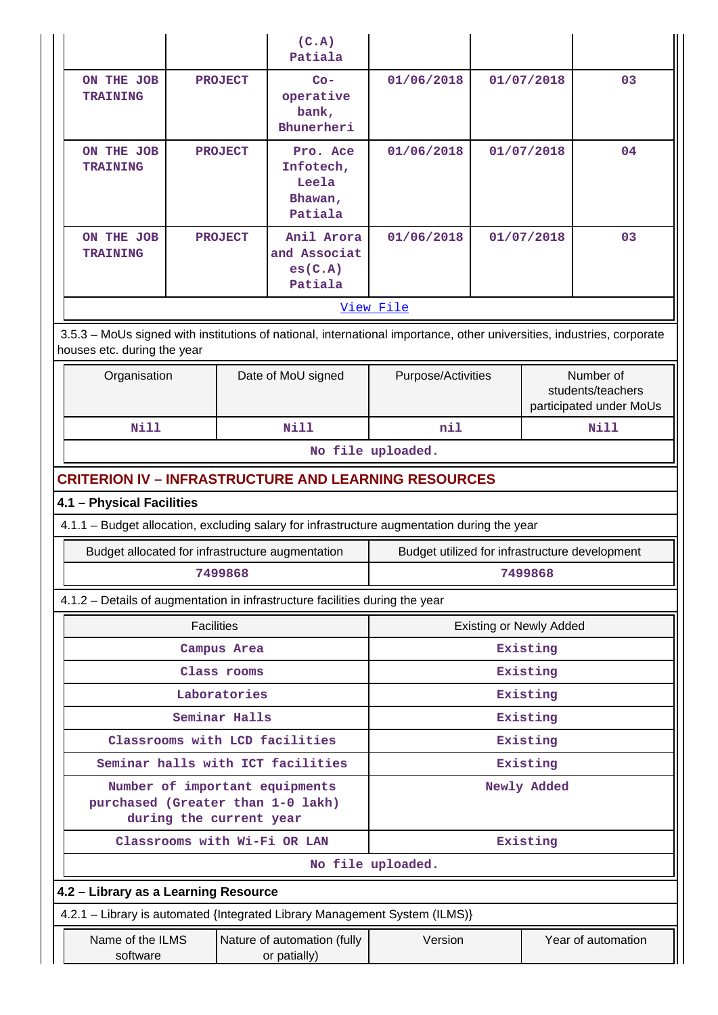|                                                                                                                                                       |                                                             |                         |                | (C.A)<br>Patiala                                                             |                                                                                             |      |                                |                                                           |  |  |
|-------------------------------------------------------------------------------------------------------------------------------------------------------|-------------------------------------------------------------|-------------------------|----------------|------------------------------------------------------------------------------|---------------------------------------------------------------------------------------------|------|--------------------------------|-----------------------------------------------------------|--|--|
|                                                                                                                                                       | ON THE JOB<br><b>TRAINING</b>                               |                         | <b>PROJECT</b> | $Co-$<br>operative<br>bank,<br>Bhunerheri                                    | 01/06/2018                                                                                  |      | 01/07/2018                     | 03                                                        |  |  |
|                                                                                                                                                       | ON THE JOB<br><b>TRAINING</b>                               |                         | <b>PROJECT</b> | Pro. Ace<br>Infotech,<br>Leela<br>Bhawan,<br>Patiala                         | 01/06/2018                                                                                  |      | 01/07/2018                     | 04                                                        |  |  |
|                                                                                                                                                       | ON THE JOB<br><b>TRAINING</b>                               |                         | <b>PROJECT</b> | Anil Arora<br>and Associat<br>es(C.A)<br>Patiala                             | 01/06/2018                                                                                  |      | 01/07/2018                     | 03                                                        |  |  |
|                                                                                                                                                       |                                                             |                         |                |                                                                              | View File                                                                                   |      |                                |                                                           |  |  |
| 3.5.3 - MoUs signed with institutions of national, international importance, other universities, industries, corporate<br>houses etc. during the year |                                                             |                         |                |                                                                              |                                                                                             |      |                                |                                                           |  |  |
|                                                                                                                                                       | Organisation                                                |                         |                | Date of MoU signed                                                           | Purpose/Activities                                                                          |      |                                | Number of<br>students/teachers<br>participated under MoUs |  |  |
|                                                                                                                                                       | <b>Nill</b>                                                 |                         |                | Nill                                                                         | nil                                                                                         | Nill |                                |                                                           |  |  |
|                                                                                                                                                       |                                                             |                         |                |                                                                              | No file uploaded.                                                                           |      |                                |                                                           |  |  |
|                                                                                                                                                       | <b>CRITERION IV - INFRASTRUCTURE AND LEARNING RESOURCES</b> |                         |                |                                                                              |                                                                                             |      |                                |                                                           |  |  |
|                                                                                                                                                       | 4.1 - Physical Facilities                                   |                         |                |                                                                              |                                                                                             |      |                                |                                                           |  |  |
|                                                                                                                                                       |                                                             |                         |                |                                                                              | 4.1.1 - Budget allocation, excluding salary for infrastructure augmentation during the year |      |                                |                                                           |  |  |
|                                                                                                                                                       | Budget allocated for infrastructure augmentation            |                         |                |                                                                              | Budget utilized for infrastructure development                                              |      |                                |                                                           |  |  |
|                                                                                                                                                       |                                                             |                         | 7499868        |                                                                              | 7499868                                                                                     |      |                                |                                                           |  |  |
|                                                                                                                                                       |                                                             |                         |                | 4.1.2 - Details of augmentation in infrastructure facilities during the year |                                                                                             |      |                                |                                                           |  |  |
|                                                                                                                                                       |                                                             | <b>Facilities</b>       |                |                                                                              |                                                                                             |      | <b>Existing or Newly Added</b> |                                                           |  |  |
|                                                                                                                                                       |                                                             |                         | Campus Area    |                                                                              | Existing                                                                                    |      |                                |                                                           |  |  |
|                                                                                                                                                       |                                                             |                         | Class rooms    |                                                                              |                                                                                             |      | Existing                       |                                                           |  |  |
|                                                                                                                                                       |                                                             |                         | Laboratories   |                                                                              |                                                                                             |      | Existing                       |                                                           |  |  |
|                                                                                                                                                       |                                                             |                         | Seminar Halls  |                                                                              |                                                                                             |      | Existing                       |                                                           |  |  |
|                                                                                                                                                       |                                                             |                         |                | Classrooms with LCD facilities                                               |                                                                                             |      | Existing                       |                                                           |  |  |
|                                                                                                                                                       |                                                             |                         |                | Seminar halls with ICT facilities                                            |                                                                                             |      | Existing                       |                                                           |  |  |
|                                                                                                                                                       | purchased (Greater than 1-0 lakh)                           | during the current year |                | Number of important equipments                                               |                                                                                             |      | Newly Added                    |                                                           |  |  |
|                                                                                                                                                       |                                                             |                         |                | Classrooms with Wi-Fi OR LAN                                                 |                                                                                             |      | Existing                       |                                                           |  |  |
|                                                                                                                                                       |                                                             |                         |                |                                                                              | No file uploaded.                                                                           |      |                                |                                                           |  |  |
|                                                                                                                                                       | 4.2 - Library as a Learning Resource                        |                         |                |                                                                              |                                                                                             |      |                                |                                                           |  |  |
|                                                                                                                                                       |                                                             |                         |                |                                                                              | 4.2.1 - Library is automated {Integrated Library Management System (ILMS)}                  |      |                                |                                                           |  |  |
|                                                                                                                                                       | Name of the ILMS<br>software                                |                         |                | Nature of automation (fully<br>or patially)                                  | Version                                                                                     |      |                                | Year of automation                                        |  |  |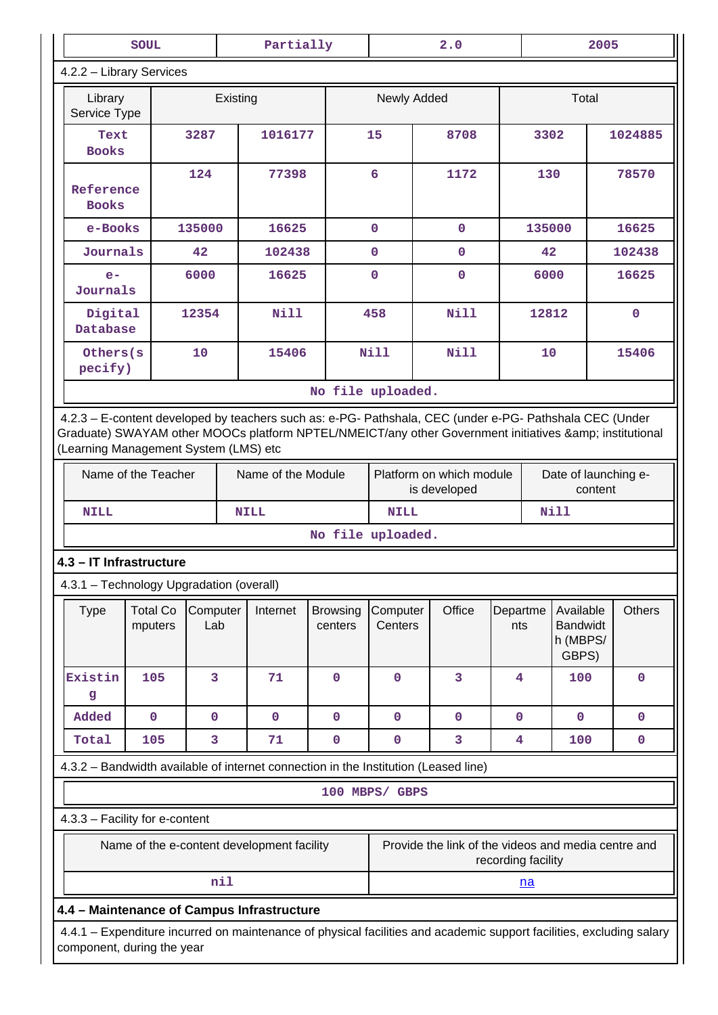|                                                                                                                                                                                                                                                         | <b>SOUL</b>                |                 |          | Partially                                  |                            |                     | 2.0                                                 |                    |           |                                                   | 2005 |               |
|---------------------------------------------------------------------------------------------------------------------------------------------------------------------------------------------------------------------------------------------------------|----------------------------|-----------------|----------|--------------------------------------------|----------------------------|---------------------|-----------------------------------------------------|--------------------|-----------|---------------------------------------------------|------|---------------|
| 4.2.2 - Library Services                                                                                                                                                                                                                                |                            |                 |          |                                            |                            |                     |                                                     |                    |           |                                                   |      |               |
| Library<br>Service Type                                                                                                                                                                                                                                 |                            |                 | Existing |                                            |                            | Newly Added         |                                                     |                    |           | Total                                             |      |               |
| Text<br><b>Books</b>                                                                                                                                                                                                                                    |                            | 3287            |          | 1016177                                    |                            | 15                  | 8708                                                |                    | 3302      |                                                   |      | 1024885       |
| Reference<br><b>Books</b>                                                                                                                                                                                                                               |                            | 124             |          | 77398                                      |                            | $6\overline{6}$     | 1172                                                |                    | 130       |                                                   |      | 78570         |
| e-Books                                                                                                                                                                                                                                                 |                            | 135000          |          | 16625                                      |                            | $\mathbf 0$         | $\mathbf{0}$                                        |                    | 135000    |                                                   |      | 16625         |
| Journals                                                                                                                                                                                                                                                |                            | 42              |          | 102438                                     |                            | $\mathbf 0$         | $\mathbf{O}$                                        |                    | 42        |                                                   |      | 102438        |
| $e-$<br>Journals                                                                                                                                                                                                                                        |                            | 6000            |          | 16625                                      |                            | $\Omega$            | $\mathbf 0$                                         |                    | 6000      |                                                   |      | 16625         |
| Digital<br>Database                                                                                                                                                                                                                                     |                            | 12354           |          | Nill                                       |                            | 458                 | Nill                                                |                    | 12812     |                                                   |      | $\mathbf{0}$  |
| Others (s)<br>pecify)                                                                                                                                                                                                                                   |                            | 10              |          | 15406                                      |                            | <b>Nill</b>         | Nill                                                |                    | 10        |                                                   |      | 15406         |
|                                                                                                                                                                                                                                                         |                            |                 |          |                                            | No file uploaded.          |                     |                                                     |                    |           |                                                   |      |               |
| 4.2.3 - E-content developed by teachers such as: e-PG- Pathshala, CEC (under e-PG- Pathshala CEC (Under<br>Graduate) SWAYAM other MOOCs platform NPTEL/NMEICT/any other Government initiatives & institutional<br>(Learning Management System (LMS) etc |                            |                 |          |                                            |                            |                     |                                                     |                    |           |                                                   |      |               |
| Name of the Teacher<br>Name of the Module<br>Platform on which module<br>Date of launching e-<br>is developed<br>content                                                                                                                                |                            |                 |          |                                            |                            |                     |                                                     |                    |           |                                                   |      |               |
| <b>NILL</b>                                                                                                                                                                                                                                             |                            |                 |          | <b>NILL</b>                                |                            | NILL                |                                                     |                    |           | <b>Nill</b>                                       |      |               |
|                                                                                                                                                                                                                                                         |                            |                 |          |                                            | No file uploaded.          |                     |                                                     |                    |           |                                                   |      |               |
| 4.3 - IT Infrastructure                                                                                                                                                                                                                                 |                            |                 |          |                                            |                            |                     |                                                     |                    |           |                                                   |      |               |
| 4.3.1 - Technology Upgradation (overall)                                                                                                                                                                                                                |                            |                 |          |                                            |                            |                     |                                                     |                    |           |                                                   |      |               |
| <b>Type</b>                                                                                                                                                                                                                                             | <b>Total Co</b><br>mputers | Computer<br>Lab |          | Internet                                   | <b>Browsing</b><br>centers | Computer<br>Centers | Office                                              | Departme<br>nts    |           | Available<br><b>Bandwidt</b><br>h (MBPS/<br>GBPS) |      | <b>Others</b> |
| Existin<br>g                                                                                                                                                                                                                                            | 105                        | 3               |          | 71                                         | 0                          | $\mathbf 0$         | 3                                                   | 4                  |           | 100                                               |      | $\mathbf 0$   |
| Added                                                                                                                                                                                                                                                   | $\mathbf 0$                | $\mathbf 0$     |          | $\mathbf 0$                                | $\mathbf 0$                | $\mathbf 0$         | $\mathbf 0$                                         | $\mathbf 0$        |           | $\mathbf 0$                                       |      | $\mathbf 0$   |
| Total                                                                                                                                                                                                                                                   | 105                        | 3               |          | 71                                         | $\mathbf 0$                | $\mathbf 0$         | $\overline{\mathbf{3}}$                             | $\overline{4}$     |           | 100                                               |      | $\mathbf 0$   |
| 4.3.2 - Bandwidth available of internet connection in the Institution (Leased line)                                                                                                                                                                     |                            |                 |          |                                            |                            |                     |                                                     |                    |           |                                                   |      |               |
|                                                                                                                                                                                                                                                         |                            |                 |          |                                            |                            | 100 MBPS/ GBPS      |                                                     |                    |           |                                                   |      |               |
| 4.3.3 - Facility for e-content                                                                                                                                                                                                                          |                            |                 |          |                                            |                            |                     |                                                     |                    |           |                                                   |      |               |
|                                                                                                                                                                                                                                                         |                            |                 |          | Name of the e-content development facility |                            |                     | Provide the link of the videos and media centre and | recording facility |           |                                                   |      |               |
|                                                                                                                                                                                                                                                         |                            |                 | nil      |                                            |                            |                     |                                                     |                    | <u>na</u> |                                                   |      |               |
| 4.4 - Maintenance of Campus Infrastructure                                                                                                                                                                                                              |                            |                 |          |                                            |                            |                     |                                                     |                    |           |                                                   |      |               |
| 4.4.1 - Expenditure incurred on maintenance of physical facilities and academic support facilities, excluding salary<br>component, during the year                                                                                                      |                            |                 |          |                                            |                            |                     |                                                     |                    |           |                                                   |      |               |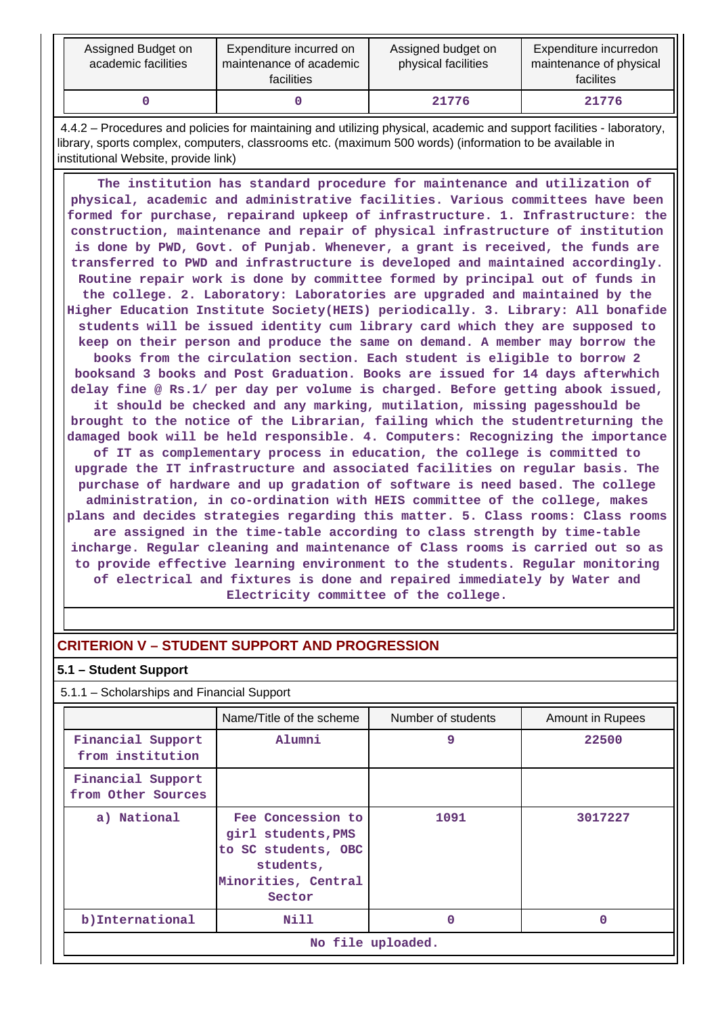| Assigned Budget on<br>academic facilities | Expenditure incurred on<br>maintenance of academic<br>facilities | Assigned budget on<br>physical facilities | Expenditure incurredon<br>maintenance of physical<br>facilites |
|-------------------------------------------|------------------------------------------------------------------|-------------------------------------------|----------------------------------------------------------------|
|                                           |                                                                  | 21776                                     | 21776                                                          |

 4.4.2 – Procedures and policies for maintaining and utilizing physical, academic and support facilities - laboratory, library, sports complex, computers, classrooms etc. (maximum 500 words) (information to be available in institutional Website, provide link)

 **The institution has standard procedure for maintenance and utilization of physical, academic and administrative facilities. Various committees have been formed for purchase, repairand upkeep of infrastructure. 1. Infrastructure: the construction, maintenance and repair of physical infrastructure of institution is done by PWD, Govt. of Punjab. Whenever, a grant is received, the funds are transferred to PWD and infrastructure is developed and maintained accordingly. Routine repair work is done by committee formed by principal out of funds in the college. 2. Laboratory: Laboratories are upgraded and maintained by the Higher Education Institute Society(HEIS) periodically. 3. Library: All bonafide students will be issued identity cum library card which they are supposed to keep on their person and produce the same on demand. A member may borrow the books from the circulation section. Each student is eligible to borrow 2 booksand 3 books and Post Graduation. Books are issued for 14 days afterwhich delay fine @ Rs.1/ per day per volume is charged. Before getting abook issued, it should be checked and any marking, mutilation, missing pagesshould be brought to the notice of the Librarian, failing which the studentreturning the damaged book will be held responsible. 4. Computers: Recognizing the importance of IT as complementary process in education, the college is committed to upgrade the IT infrastructure and associated facilities on regular basis. The purchase of hardware and up gradation of software is need based. The college administration, in co-ordination with HEIS committee of the college, makes plans and decides strategies regarding this matter. 5. Class rooms: Class rooms are assigned in the time-table according to class strength by time-table incharge. Regular cleaning and maintenance of Class rooms is carried out so as to provide effective learning environment to the students. Regular monitoring of electrical and fixtures is done and repaired immediately by Water and Electricity committee of the college.**

# **CRITERION V – STUDENT SUPPORT AND PROGRESSION**

### **5.1 – Student Support**

| 5.1.1 – Scholarships and Financial Support                                                                                  |                          |                    |                  |  |
|-----------------------------------------------------------------------------------------------------------------------------|--------------------------|--------------------|------------------|--|
|                                                                                                                             | Name/Title of the scheme | Number of students | Amount in Rupees |  |
| Financial Support<br>from institution                                                                                       | Alumni                   | 9                  | 22500            |  |
| Financial Support<br>from Other Sources                                                                                     |                          |                    |                  |  |
| Fee Concession to<br>a) National<br>girl students, PMS<br>to SC students, OBC<br>students,<br>Minorities, Central<br>Sector |                          | 1091               | 3017227          |  |
| b) International                                                                                                            | Nill                     | 0                  | O                |  |
| No file uploaded.                                                                                                           |                          |                    |                  |  |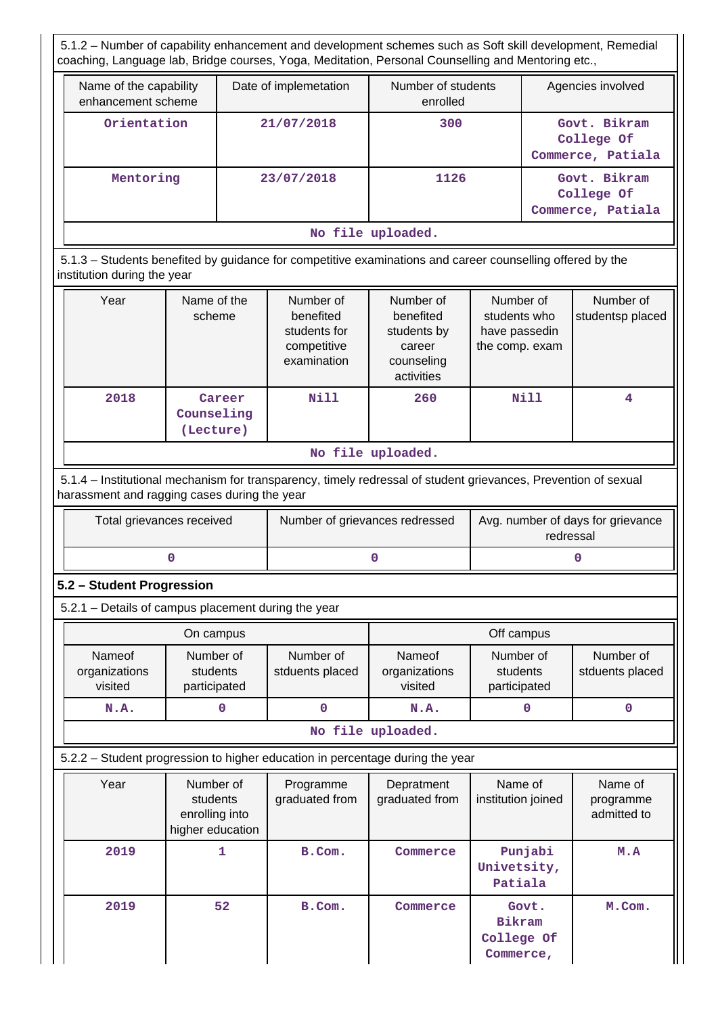5.1.2 – Number of capability enhancement and development schemes such as Soft skill development, Remedial coaching, Language lab, Bridge courses, Yoga, Meditation, Personal Counselling and Mentoring etc.,

| Name of the capability<br>enhancement scheme                                       | Date of implemetation | Number of students<br>enrolled | Agencies involved                               |  |
|------------------------------------------------------------------------------------|-----------------------|--------------------------------|-------------------------------------------------|--|
| Orientation                                                                        | 21/07/2018            | 300                            | Govt. Bikram<br>College Of<br>Commerce, Patiala |  |
| Mentoring<br>Govt. Bikram<br>23/07/2018<br>1126<br>College Of<br>Commerce, Patiala |                       |                                |                                                 |  |
| No file uploaded.                                                                  |                       |                                |                                                 |  |

 5.1.3 – Students benefited by guidance for competitive examinations and career counselling offered by the institution during the year

| Year | Name of the<br>scheme             | Number of<br>benefited<br>students for<br>competitive<br>examination | Number of<br>benefited<br>students by<br>career<br>counseling<br>activities | Number of<br>students who<br>have passedin<br>the comp. exam | Number of<br>studentsp placed |
|------|-----------------------------------|----------------------------------------------------------------------|-----------------------------------------------------------------------------|--------------------------------------------------------------|-------------------------------|
| 2018 | Career<br>Counseling<br>(Lecture) | Nill                                                                 | 260                                                                         | Nill                                                         | 4                             |

**No file uploaded.**

 5.1.4 – Institutional mechanism for transparency, timely redressal of student grievances, Prevention of sexual harassment and ragging cases during the year

| Total grievances received | Number of grievances redressed | Avg. number of days for grievance<br>redressal |
|---------------------------|--------------------------------|------------------------------------------------|
|                           |                                |                                                |

# **5.2 – Student Progression**

5.2.1 – Details of campus placement during the year

|                                                                               |                                    | On campus                                                   |                              |                                    | Off campus                                        |                                     |
|-------------------------------------------------------------------------------|------------------------------------|-------------------------------------------------------------|------------------------------|------------------------------------|---------------------------------------------------|-------------------------------------|
|                                                                               | Nameof<br>organizations<br>visited | Number of<br>students<br>participated                       | Number of<br>stduents placed | Nameof<br>organizations<br>visited | Number of<br>students<br>participated             | Number of<br>stduents placed        |
|                                                                               | N.A.                               | 0                                                           | 0                            | N.A.                               | 0                                                 | 0                                   |
|                                                                               |                                    |                                                             |                              | No file uploaded.                  |                                                   |                                     |
| 5.2.2 - Student progression to higher education in percentage during the year |                                    |                                                             |                              |                                    |                                                   |                                     |
|                                                                               | Year                               | Number of<br>students<br>enrolling into<br>higher education | Programme<br>graduated from  | Depratment<br>graduated from       | Name of<br>institution joined                     | Name of<br>programme<br>admitted to |
|                                                                               | 2019                               | 1                                                           | B.Com.                       | Commerce                           | Punjabi<br>Univetsity,<br>Patiala                 | M.A                                 |
|                                                                               | 2019                               | 52                                                          | B.Com.                       | Commerce                           | Govt.<br><b>Bikram</b><br>College Of<br>Commerce, | M.Com.                              |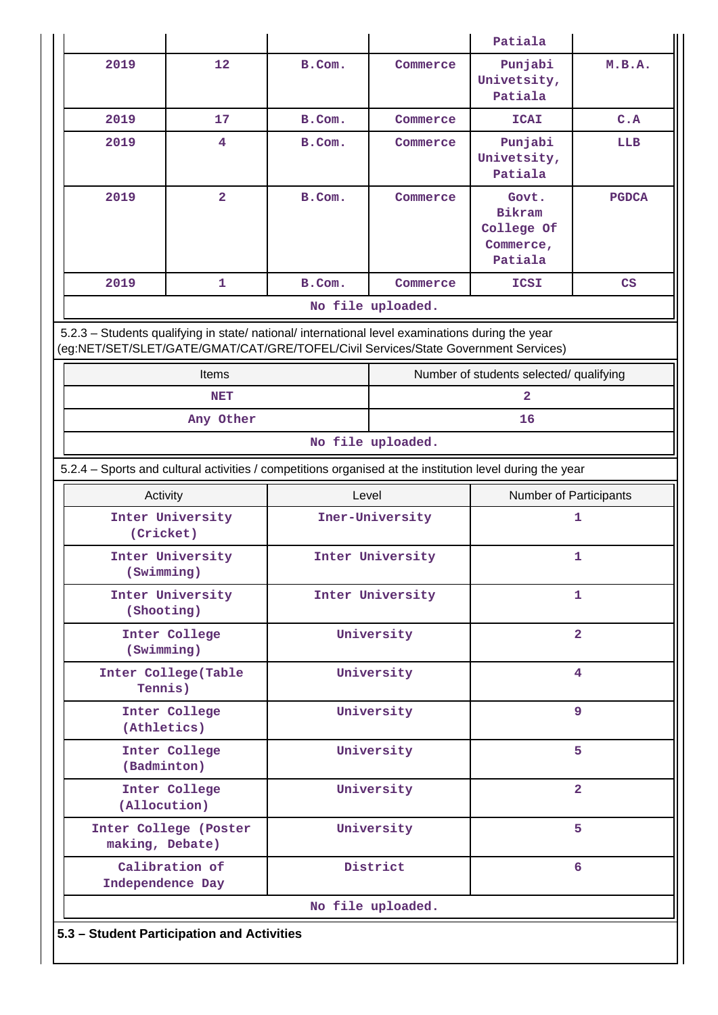|                                                                                                                                                                                        |                                            |                  |                   | Patiala                                               |              |
|----------------------------------------------------------------------------------------------------------------------------------------------------------------------------------------|--------------------------------------------|------------------|-------------------|-------------------------------------------------------|--------------|
| 2019                                                                                                                                                                                   | 12                                         | B.Com.           | Commerce          | Punjabi<br>Univetsity,<br>Patiala                     | M.B.A.       |
| 2019                                                                                                                                                                                   | 17                                         | B.Com.           | Commerce          | <b>ICAI</b>                                           | C.A          |
| 2019                                                                                                                                                                                   | 4                                          | B.Com.           | Commerce          | Punjabi<br>Univetsity,<br>Patiala                     | LLB          |
| 2019                                                                                                                                                                                   | $\overline{2}$                             | B.Com.           | Commerce          | Govt.<br>Bikram<br>College Of<br>Commerce,<br>Patiala | <b>PGDCA</b> |
| 2019                                                                                                                                                                                   | 1                                          | B.Com.           | Commerce          | ICSI                                                  | CS           |
|                                                                                                                                                                                        |                                            |                  | No file uploaded. |                                                       |              |
| 5.2.3 - Students qualifying in state/ national/ international level examinations during the year<br>(eg:NET/SET/SLET/GATE/GMAT/CAT/GRE/TOFEL/Civil Services/State Government Services) |                                            |                  |                   |                                                       |              |
|                                                                                                                                                                                        | Items                                      |                  |                   | Number of students selected/ qualifying               |              |
|                                                                                                                                                                                        | <b>NET</b>                                 |                  |                   | $\overline{2}$                                        |              |
|                                                                                                                                                                                        | Any Other                                  |                  | 16                |                                                       |              |
| No file uploaded.                                                                                                                                                                      |                                            |                  |                   |                                                       |              |
| 5.2.4 - Sports and cultural activities / competitions organised at the institution level during the year                                                                               |                                            |                  |                   |                                                       |              |
| Activity                                                                                                                                                                               |                                            | Level            |                   | Number of Participants                                |              |
|                                                                                                                                                                                        | Inter University<br>(Cricket)              |                  | Iner-University   |                                                       | 1            |
| (Swimming)                                                                                                                                                                             | Inter University                           | Inter University |                   |                                                       | 1            |
| (Shooting)                                                                                                                                                                             | Inter University                           | Inter University |                   |                                                       | $\mathbf{1}$ |
| (Swimming)                                                                                                                                                                             | Inter College                              | University       |                   | $\overline{\mathbf{2}}$                               |              |
| Tennis)                                                                                                                                                                                | Inter College(Table                        | University       |                   | 4                                                     |              |
|                                                                                                                                                                                        | Inter College<br>(Athletics)               |                  | University        |                                                       | 9            |
|                                                                                                                                                                                        | Inter College<br>(Badminton)               |                  | University        |                                                       | 5            |
| Inter College<br>(Allocution)                                                                                                                                                          |                                            |                  | University        | $\overline{2}$                                        |              |
|                                                                                                                                                                                        | Inter College (Poster<br>making, Debate)   |                  | University        |                                                       | 5            |
| Independence Day                                                                                                                                                                       | Calibration of                             | District         |                   | 6                                                     |              |
|                                                                                                                                                                                        |                                            |                  | No file uploaded. |                                                       |              |
|                                                                                                                                                                                        | 5.3 - Student Participation and Activities |                  |                   |                                                       |              |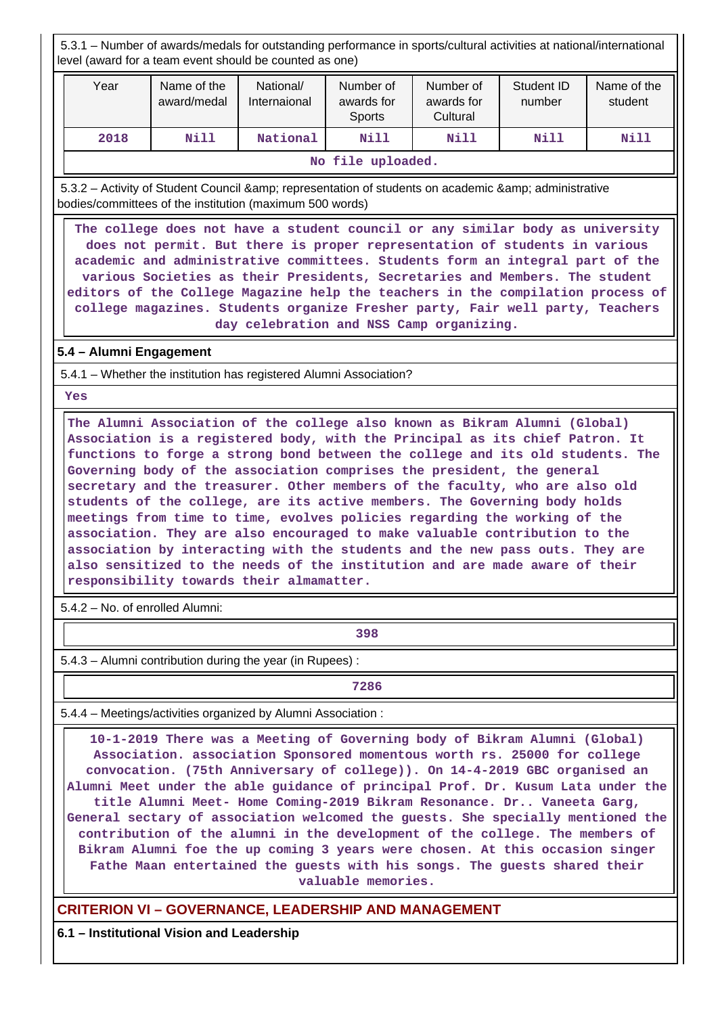5.3.1 – Number of awards/medals for outstanding performance in sports/cultural activities at national/international level (award for a team event should be counted as one)

| Year              | Name of the<br>award/medal | National/<br>Internaional | Number of<br>awards for<br>Sports | Number of<br>awards for<br>Cultural | Student ID<br>number | Name of the<br>student |
|-------------------|----------------------------|---------------------------|-----------------------------------|-------------------------------------|----------------------|------------------------|
| 2018              | Nill                       | National                  | Nill                              | Nill                                | Nill                 | Nill                   |
| No file uploaded. |                            |                           |                                   |                                     |                      |                        |

5.3.2 – Activity of Student Council & amp; representation of students on academic & amp; administrative bodies/committees of the institution (maximum 500 words)

 **The college does not have a student council or any similar body as university does not permit. But there is proper representation of students in various academic and administrative committees. Students form an integral part of the various Societies as their Presidents, Secretaries and Members. The student editors of the College Magazine help the teachers in the compilation process of college magazines. Students organize Fresher party, Fair well party, Teachers day celebration and NSS Camp organizing.**

# **5.4 – Alumni Engagement**

5.4.1 – Whether the institution has registered Alumni Association?

 **Yes**

 **The Alumni Association of the college also known as Bikram Alumni (Global) Association is a registered body, with the Principal as its chief Patron. It functions to forge a strong bond between the college and its old students. The Governing body of the association comprises the president, the general secretary and the treasurer. Other members of the faculty, who are also old students of the college, are its active members. The Governing body holds meetings from time to time, evolves policies regarding the working of the association. They are also encouraged to make valuable contribution to the association by interacting with the students and the new pass outs. They are also sensitized to the needs of the institution and are made aware of their responsibility towards their almamatter.**

5.4.2 – No. of enrolled Alumni:

**398**

5.4.3 – Alumni contribution during the year (in Rupees) :

**7286**

5.4.4 – Meetings/activities organized by Alumni Association :

 **10-1-2019 There was a Meeting of Governing body of Bikram Alumni (Global) Association. association Sponsored momentous worth rs. 25000 for college convocation. (75th Anniversary of college)). On 14-4-2019 GBC organised an Alumni Meet under the able guidance of principal Prof. Dr. Kusum Lata under the title Alumni Meet- Home Coming-2019 Bikram Resonance. Dr.. Vaneeta Garg, General sectary of association welcomed the guests. She specially mentioned the contribution of the alumni in the development of the college. The members of Bikram Alumni foe the up coming 3 years were chosen. At this occasion singer Fathe Maan entertained the guests with his songs. The guests shared their valuable memories.**

**CRITERION VI – GOVERNANCE, LEADERSHIP AND MANAGEMENT**

**6.1 – Institutional Vision and Leadership**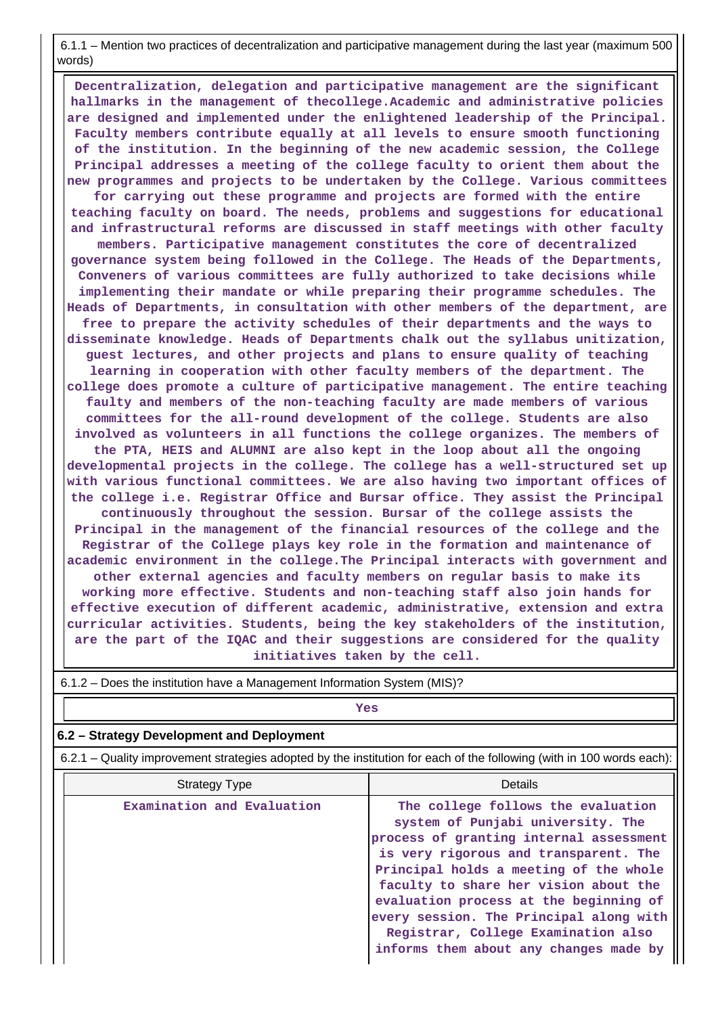6.1.1 – Mention two practices of decentralization and participative management during the last year (maximum 500 words)

 **Decentralization, delegation and participative management are the significant hallmarks in the management of thecollege.Academic and administrative policies are designed and implemented under the enlightened leadership of the Principal. Faculty members contribute equally at all levels to ensure smooth functioning of the institution. In the beginning of the new academic session, the College Principal addresses a meeting of the college faculty to orient them about the new programmes and projects to be undertaken by the College. Various committees for carrying out these programme and projects are formed with the entire teaching faculty on board. The needs, problems and suggestions for educational and infrastructural reforms are discussed in staff meetings with other faculty members. Participative management constitutes the core of decentralized governance system being followed in the College. The Heads of the Departments, Conveners of various committees are fully authorized to take decisions while implementing their mandate or while preparing their programme schedules. The Heads of Departments, in consultation with other members of the department, are free to prepare the activity schedules of their departments and the ways to disseminate knowledge. Heads of Departments chalk out the syllabus unitization, guest lectures, and other projects and plans to ensure quality of teaching learning in cooperation with other faculty members of the department. The college does promote a culture of participative management. The entire teaching faulty and members of the non-teaching faculty are made members of various committees for the all-round development of the college. Students are also involved as volunteers in all functions the college organizes. The members of the PTA, HEIS and ALUMNI are also kept in the loop about all the ongoing developmental projects in the college. The college has a well-structured set up with various functional committees. We are also having two important offices of the college i.e. Registrar Office and Bursar office. They assist the Principal continuously throughout the session. Bursar of the college assists the Principal in the management of the financial resources of the college and the Registrar of the College plays key role in the formation and maintenance of academic environment in the college.The Principal interacts with government and other external agencies and faculty members on regular basis to make its working more effective. Students and non-teaching staff also join hands for effective execution of different academic, administrative, extension and extra curricular activities. Students, being the key stakeholders of the institution, are the part of the IQAC and their suggestions are considered for the quality initiatives taken by the cell.**

| $6.1.2$ – Does the institution have a Management Information System (MIS)?                                            |                                                                                                                                                                                                                                                                                                                                                                                                                      |  |  |  |
|-----------------------------------------------------------------------------------------------------------------------|----------------------------------------------------------------------------------------------------------------------------------------------------------------------------------------------------------------------------------------------------------------------------------------------------------------------------------------------------------------------------------------------------------------------|--|--|--|
| Yes                                                                                                                   |                                                                                                                                                                                                                                                                                                                                                                                                                      |  |  |  |
| 6.2 – Strategy Development and Deployment                                                                             |                                                                                                                                                                                                                                                                                                                                                                                                                      |  |  |  |
| 6.2.1 – Quality improvement strategies adopted by the institution for each of the following (with in 100 words each): |                                                                                                                                                                                                                                                                                                                                                                                                                      |  |  |  |
| <b>Strategy Type</b>                                                                                                  | Details                                                                                                                                                                                                                                                                                                                                                                                                              |  |  |  |
| Examination and Evaluation                                                                                            | The college follows the evaluation<br>system of Punjabi university. The<br>process of granting internal assessment<br>is very rigorous and transparent. The<br>Principal holds a meeting of the whole<br>faculty to share her vision about the<br>evaluation process at the beginning of<br>every session. The Principal along with<br>Registrar, College Examination also<br>informs them about any changes made by |  |  |  |

6.1.2 – Does the institution have a Management Information System (MIS)?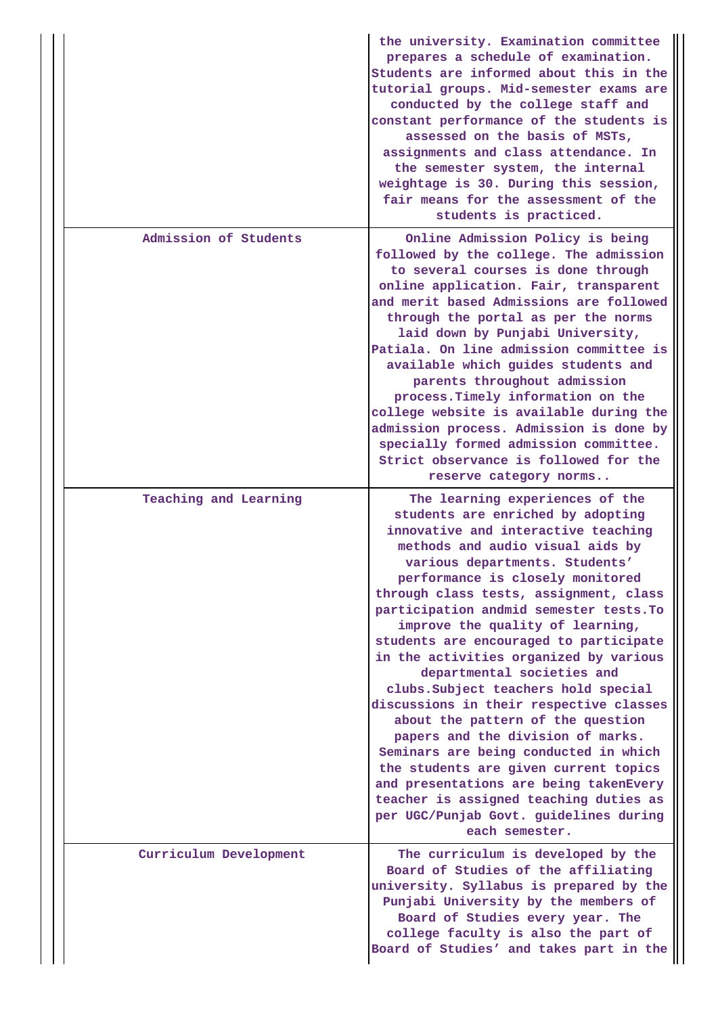|                        | the university. Examination committee<br>prepares a schedule of examination.<br>Students are informed about this in the<br>tutorial groups. Mid-semester exams are<br>conducted by the college staff and<br>constant performance of the students is<br>assessed on the basis of MSTs,<br>assignments and class attendance. In<br>the semester system, the internal<br>weightage is 30. During this session,<br>fair means for the assessment of the<br>students is practiced.                                                                                                                                                                                                                                                                                                                                                                                   |
|------------------------|-----------------------------------------------------------------------------------------------------------------------------------------------------------------------------------------------------------------------------------------------------------------------------------------------------------------------------------------------------------------------------------------------------------------------------------------------------------------------------------------------------------------------------------------------------------------------------------------------------------------------------------------------------------------------------------------------------------------------------------------------------------------------------------------------------------------------------------------------------------------|
| Admission of Students  | Online Admission Policy is being<br>followed by the college. The admission<br>to several courses is done through<br>online application. Fair, transparent<br>and merit based Admissions are followed<br>through the portal as per the norms<br>laid down by Punjabi University,<br>Patiala. On line admission committee is<br>available which guides students and<br>parents throughout admission<br>process. Timely information on the<br>college website is available during the<br>admission process. Admission is done by<br>specially formed admission committee.<br>Strict observance is followed for the<br>reserve category norms                                                                                                                                                                                                                       |
| Teaching and Learning  | The learning experiences of the<br>students are enriched by adopting<br>innovative and interactive teaching<br>methods and audio visual aids by<br>various departments. Students'<br>performance is closely monitored<br>through class tests, assignment, class<br>participation andmid semester tests. To<br>improve the quality of learning,<br>students are encouraged to participate<br>in the activities organized by various<br>departmental societies and<br>clubs. Subject teachers hold special<br>discussions in their respective classes<br>about the pattern of the question<br>papers and the division of marks.<br>Seminars are being conducted in which<br>the students are given current topics<br>and presentations are being takenEvery<br>teacher is assigned teaching duties as<br>per UGC/Punjab Govt. guidelines during<br>each semester. |
| Curriculum Development | The curriculum is developed by the<br>Board of Studies of the affiliating<br>university. Syllabus is prepared by the<br>Punjabi University by the members of<br>Board of Studies every year. The<br>college faculty is also the part of<br>Board of Studies' and takes part in the                                                                                                                                                                                                                                                                                                                                                                                                                                                                                                                                                                              |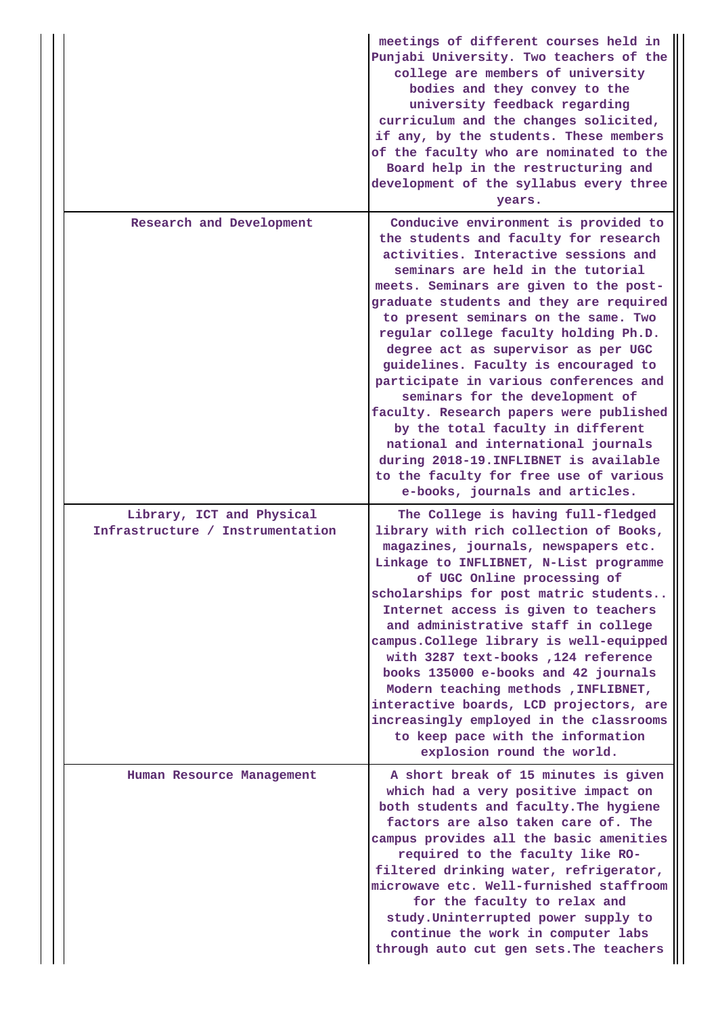|  |                                                               | meetings of different courses held in<br>Punjabi University. Two teachers of the<br>college are members of university<br>bodies and they convey to the<br>university feedback regarding<br>curriculum and the changes solicited,<br>if any, by the students. These members<br>of the faculty who are nominated to the<br>Board help in the restructuring and<br>development of the syllabus every three<br>years.                                                                                                                                                                                                                                                                                                                          |
|--|---------------------------------------------------------------|--------------------------------------------------------------------------------------------------------------------------------------------------------------------------------------------------------------------------------------------------------------------------------------------------------------------------------------------------------------------------------------------------------------------------------------------------------------------------------------------------------------------------------------------------------------------------------------------------------------------------------------------------------------------------------------------------------------------------------------------|
|  | Research and Development                                      | Conducive environment is provided to<br>the students and faculty for research<br>activities. Interactive sessions and<br>seminars are held in the tutorial<br>meets. Seminars are given to the post-<br>graduate students and they are required<br>to present seminars on the same. Two<br>regular college faculty holding Ph.D.<br>degree act as supervisor as per UGC<br>guidelines. Faculty is encouraged to<br>participate in various conferences and<br>seminars for the development of<br>faculty. Research papers were published<br>by the total faculty in different<br>national and international journals<br>during 2018-19. INFLIBNET is available<br>to the faculty for free use of various<br>e-books, journals and articles. |
|  | Library, ICT and Physical<br>Infrastructure / Instrumentation | The College is having full-fledged<br>library with rich collection of Books,<br>magazines, journals, newspapers etc.<br>Linkage to INFLIBNET, N-List programme<br>of UGC Online processing of<br>scholarships for post matric students<br>Internet access is given to teachers<br>and administrative staff in college<br>campus. College library is well-equipped<br>with 3287 text-books, 124 reference<br>books 135000 e-books and 42 journals<br>Modern teaching methods , INFLIBNET,<br>interactive boards, LCD projectors, are<br>increasingly employed in the classrooms<br>to keep pace with the information<br>explosion round the world.                                                                                          |
|  | Human Resource Management                                     | A short break of 15 minutes is given<br>which had a very positive impact on<br>both students and faculty. The hygiene<br>factors are also taken care of. The<br>campus provides all the basic amenities<br>required to the faculty like RO-<br>filtered drinking water, refrigerator,<br>microwave etc. Well-furnished staffroom<br>for the faculty to relax and<br>study. Uninterrupted power supply to<br>continue the work in computer labs<br>through auto cut gen sets. The teachers                                                                                                                                                                                                                                                  |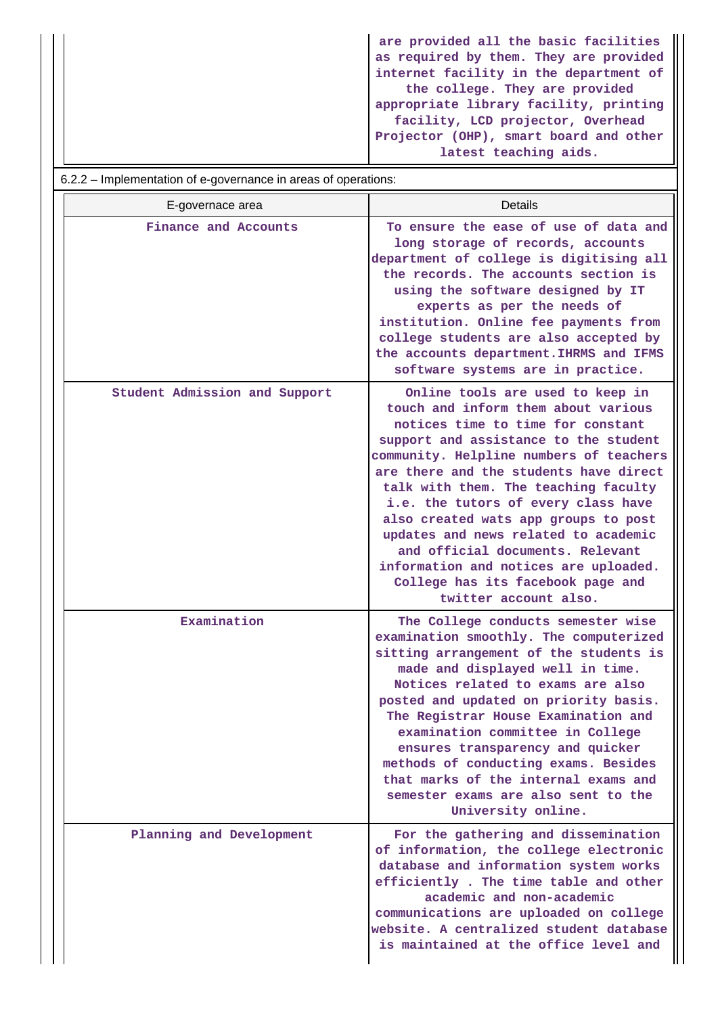**are provided all the basic facilities as required by them. They are provided internet facility in the department of the college. They are provided appropriate library facility, printing facility, LCD projector, Overhead Projector (OHP), smart board and other latest teaching aids.**

| 6.2.2 – Implementation of e-governance in areas of operations: |                                                                                                                                                                                                                                                                                                                                                                                                                                                                                                                                                      |  |  |
|----------------------------------------------------------------|------------------------------------------------------------------------------------------------------------------------------------------------------------------------------------------------------------------------------------------------------------------------------------------------------------------------------------------------------------------------------------------------------------------------------------------------------------------------------------------------------------------------------------------------------|--|--|
| E-governace area                                               | Details                                                                                                                                                                                                                                                                                                                                                                                                                                                                                                                                              |  |  |
| Finance and Accounts                                           | To ensure the ease of use of data and<br>long storage of records, accounts<br>department of college is digitising all<br>the records. The accounts section is<br>using the software designed by IT<br>experts as per the needs of<br>institution. Online fee payments from<br>college students are also accepted by<br>the accounts department. IHRMS and IFMS<br>software systems are in practice.                                                                                                                                                  |  |  |
| Student Admission and Support                                  | Online tools are used to keep in<br>touch and inform them about various<br>notices time to time for constant<br>support and assistance to the student<br>community. Helpline numbers of teachers<br>are there and the students have direct<br>talk with them. The teaching faculty<br>i.e. the tutors of every class have<br>also created wats app groups to post<br>updates and news related to academic<br>and official documents. Relevant<br>information and notices are uploaded.<br>College has its facebook page and<br>twitter account also. |  |  |
| Examination                                                    | The College conducts semester wise<br>examination smoothly. The computerized<br>sitting arrangement of the students is<br>made and displayed well in time.<br>Notices related to exams are also<br>posted and updated on priority basis.<br>The Registrar House Examination and<br>examination committee in College<br>ensures transparency and quicker<br>methods of conducting exams. Besides<br>that marks of the internal exams and<br>semester exams are also sent to the<br>University online.                                                 |  |  |
| Planning and Development                                       | For the gathering and dissemination<br>of information, the college electronic<br>database and information system works<br>efficiently. The time table and other<br>academic and non-academic<br>communications are uploaded on college<br>website. A centralized student database<br>is maintained at the office level and                                                                                                                                                                                                                           |  |  |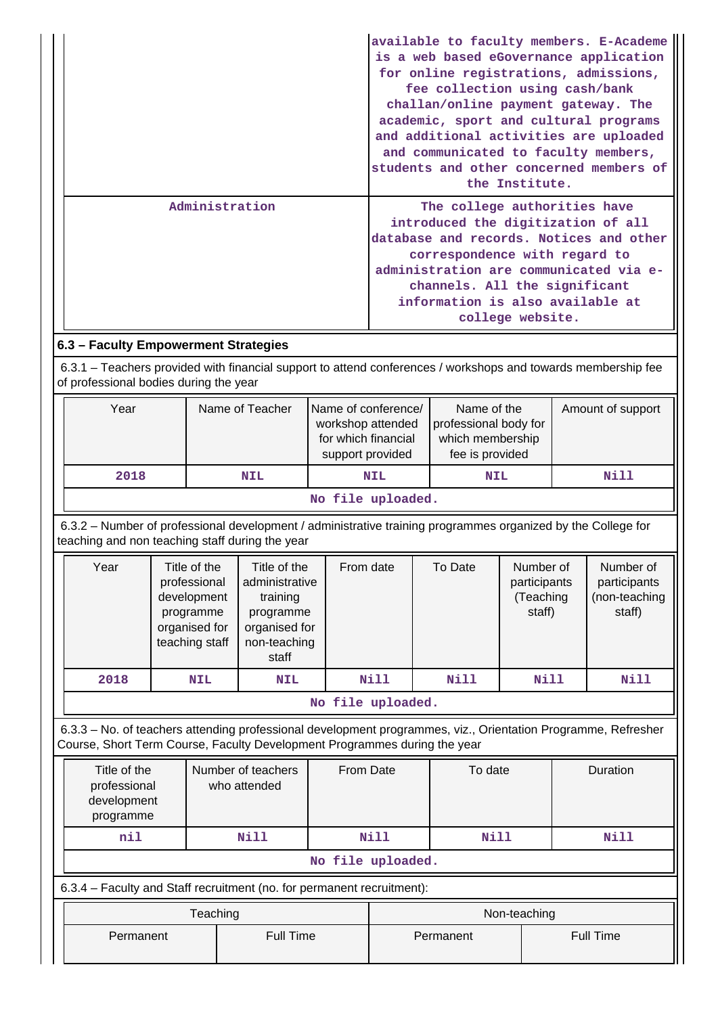|                | available to faculty members. E-Academe<br>is a web based eGovernance application<br>for online registrations, admissions,<br>fee collection using cash/bank<br>challan/online payment gateway. The<br>academic, sport and cultural programs<br>and additional activities are uploaded |
|----------------|----------------------------------------------------------------------------------------------------------------------------------------------------------------------------------------------------------------------------------------------------------------------------------------|
|                | and communicated to faculty members,<br>students and other concerned members of<br>the Institute.                                                                                                                                                                                      |
| Administration | The college authorities have<br>introduced the digitization of all<br>database and records. Notices and other<br>correspondence with regard to<br>administration are communicated via e-<br>channels. All the significant<br>information is also available at<br>college website.      |

# **6.3 – Faculty Empowerment Strategies**

 6.3.1 – Teachers provided with financial support to attend conferences / workshops and towards membership fee of professional bodies during the year

| Year | Name of Teacher | Name of conference/<br>workshop attended<br>for which financial<br>support provided | Name of the<br>professional body for<br>which membership<br>fee is provided | Amount of support |  |  |  |  |
|------|-----------------|-------------------------------------------------------------------------------------|-----------------------------------------------------------------------------|-------------------|--|--|--|--|
| 2018 | NIL             | <b>NIL</b>                                                                          | <b>NIL</b>                                                                  | Nill              |  |  |  |  |
|      |                 |                                                                                     |                                                                             |                   |  |  |  |  |

**No file uploaded.**

 6.3.2 – Number of professional development / administrative training programmes organized by the College for teaching and non teaching staff during the year

| Year              | Title of the<br>professional<br>development<br>programme<br>organised for<br>teaching staff | Title of the<br>administrative<br>training<br>programme<br>organised for<br>non-teaching<br>staff | From date | To Date | Number of<br>participants<br>(Teaching<br>staff) | Number of<br>participants<br>(non-teaching<br>staff) |  |  |  |
|-------------------|---------------------------------------------------------------------------------------------|---------------------------------------------------------------------------------------------------|-----------|---------|--------------------------------------------------|------------------------------------------------------|--|--|--|
| 2018              | <b>NIL</b>                                                                                  | <b>NIL</b>                                                                                        | Nill      | Nill    | Nill                                             | Nill                                                 |  |  |  |
| No file uploaded. |                                                                                             |                                                                                                   |           |         |                                                  |                                                      |  |  |  |

 6.3.3 – No. of teachers attending professional development programmes, viz., Orientation Programme, Refresher Course, Short Term Course, Faculty Development Programmes during the year

| Title of the<br>professional<br>development<br>programme               | Number of teachers<br>who attended | From Date |              | To date | Duration         |  |  |
|------------------------------------------------------------------------|------------------------------------|-----------|--------------|---------|------------------|--|--|
| nil                                                                    | Nill                               | Nill      |              | Nill    | <b>Nill</b>      |  |  |
| No file uploaded.                                                      |                                    |           |              |         |                  |  |  |
| 6.3.4 – Faculty and Staff recruitment (no. for permanent recruitment): |                                    |           |              |         |                  |  |  |
|                                                                        | Teaching                           |           | Non-teaching |         |                  |  |  |
| Permanent                                                              | <b>Full Time</b>                   |           | Permanent    |         | <b>Full Time</b> |  |  |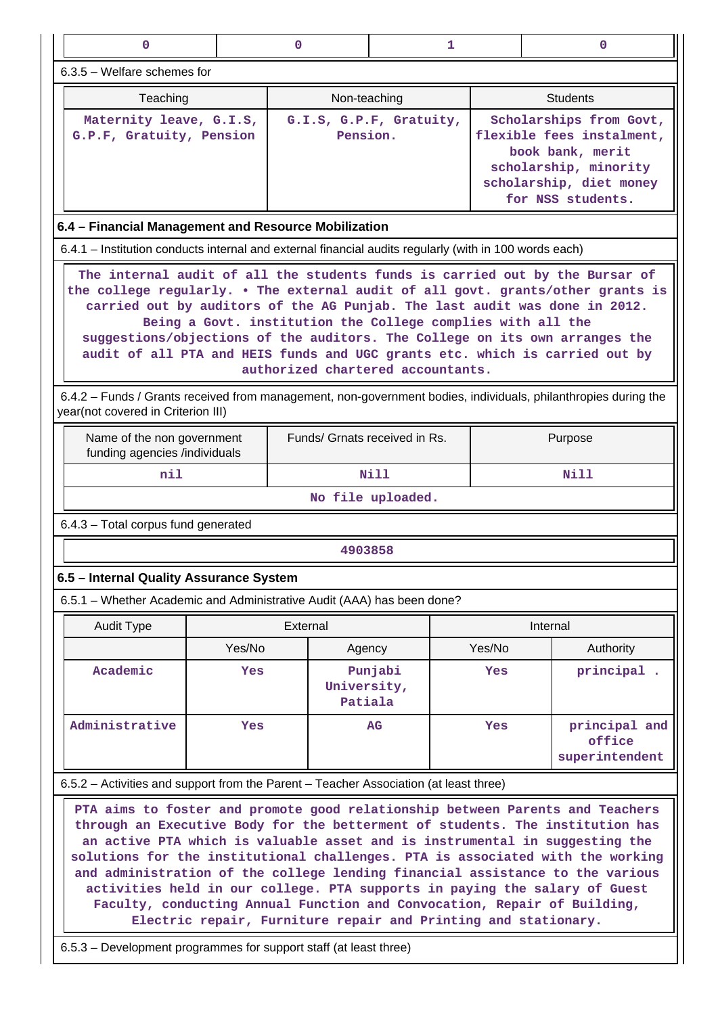| $\mathbf{0}$                                                                                                                                                                                                                                                                                                                                                                                                                                                                                                                                                                                                                                 |        | 0                      | 1                                   |        | 0                                                                                                                                                 |  |  |  |
|----------------------------------------------------------------------------------------------------------------------------------------------------------------------------------------------------------------------------------------------------------------------------------------------------------------------------------------------------------------------------------------------------------------------------------------------------------------------------------------------------------------------------------------------------------------------------------------------------------------------------------------------|--------|------------------------|-------------------------------------|--------|---------------------------------------------------------------------------------------------------------------------------------------------------|--|--|--|
| $6.3.5$ – Welfare schemes for                                                                                                                                                                                                                                                                                                                                                                                                                                                                                                                                                                                                                |        |                        |                                     |        |                                                                                                                                                   |  |  |  |
| Teaching                                                                                                                                                                                                                                                                                                                                                                                                                                                                                                                                                                                                                                     |        | Non-teaching           |                                     |        | <b>Students</b>                                                                                                                                   |  |  |  |
| Maternity leave, G.I.S,<br>G.P.F, Gratuity, Pension                                                                                                                                                                                                                                                                                                                                                                                                                                                                                                                                                                                          |        |                        | G.I.S, G.P.F, Gratuity,<br>Pension. |        | Scholarships from Govt,<br>flexible fees instalment,<br>book bank, merit<br>scholarship, minority<br>scholarship, diet money<br>for NSS students. |  |  |  |
| 6.4 - Financial Management and Resource Mobilization                                                                                                                                                                                                                                                                                                                                                                                                                                                                                                                                                                                         |        |                        |                                     |        |                                                                                                                                                   |  |  |  |
| 6.4.1 – Institution conducts internal and external financial audits regularly (with in 100 words each)                                                                                                                                                                                                                                                                                                                                                                                                                                                                                                                                       |        |                        |                                     |        |                                                                                                                                                   |  |  |  |
| The internal audit of all the students funds is carried out by the Bursar of<br>the college regularly. . The external audit of all govt. grants/other grants is<br>carried out by auditors of the AG Punjab. The last audit was done in 2012.<br>Being a Govt. institution the College complies with all the<br>suggestions/objections of the auditors. The College on its own arranges the<br>audit of all PTA and HEIS funds and UGC grants etc. which is carried out by<br>authorized chartered accountants.                                                                                                                              |        |                        |                                     |        |                                                                                                                                                   |  |  |  |
| year(not covered in Criterion III)                                                                                                                                                                                                                                                                                                                                                                                                                                                                                                                                                                                                           |        |                        |                                     |        | 6.4.2 – Funds / Grants received from management, non-government bodies, individuals, philanthropies during the                                    |  |  |  |
| Name of the non government<br>funding agencies /individuals                                                                                                                                                                                                                                                                                                                                                                                                                                                                                                                                                                                  |        |                        | Funds/ Grnats received in Rs.       |        | Purpose                                                                                                                                           |  |  |  |
| nil                                                                                                                                                                                                                                                                                                                                                                                                                                                                                                                                                                                                                                          |        |                        | Nill                                |        | Nill                                                                                                                                              |  |  |  |
|                                                                                                                                                                                                                                                                                                                                                                                                                                                                                                                                                                                                                                              |        |                        | No file uploaded.                   |        |                                                                                                                                                   |  |  |  |
| 6.4.3 - Total corpus fund generated                                                                                                                                                                                                                                                                                                                                                                                                                                                                                                                                                                                                          |        |                        |                                     |        |                                                                                                                                                   |  |  |  |
|                                                                                                                                                                                                                                                                                                                                                                                                                                                                                                                                                                                                                                              |        | 4903858                |                                     |        |                                                                                                                                                   |  |  |  |
| 6.5 - Internal Quality Assurance System                                                                                                                                                                                                                                                                                                                                                                                                                                                                                                                                                                                                      |        |                        |                                     |        |                                                                                                                                                   |  |  |  |
| 6.5.1 – Whether Academic and Administrative Audit (AAA) has been done?                                                                                                                                                                                                                                                                                                                                                                                                                                                                                                                                                                       |        |                        |                                     |        |                                                                                                                                                   |  |  |  |
| <b>Audit Type</b>                                                                                                                                                                                                                                                                                                                                                                                                                                                                                                                                                                                                                            |        | External               |                                     |        | Internal                                                                                                                                          |  |  |  |
|                                                                                                                                                                                                                                                                                                                                                                                                                                                                                                                                                                                                                                              | Yes/No | Agency                 |                                     | Yes/No | Authority                                                                                                                                         |  |  |  |
| Academic                                                                                                                                                                                                                                                                                                                                                                                                                                                                                                                                                                                                                                     | Yes    | University,<br>Patiala | Punjabi                             | Yes    | principal.                                                                                                                                        |  |  |  |
| Administrative                                                                                                                                                                                                                                                                                                                                                                                                                                                                                                                                                                                                                               | Yes    |                        | AG                                  | Yes    | principal and<br>office<br>superintendent                                                                                                         |  |  |  |
| 6.5.2 – Activities and support from the Parent – Teacher Association (at least three)                                                                                                                                                                                                                                                                                                                                                                                                                                                                                                                                                        |        |                        |                                     |        |                                                                                                                                                   |  |  |  |
| PTA aims to foster and promote good relationship between Parents and Teachers<br>through an Executive Body for the betterment of students. The institution has<br>an active PTA which is valuable asset and is instrumental in suggesting the<br>solutions for the institutional challenges. PTA is associated with the working<br>and administration of the college lending financial assistance to the various<br>activities held in our college. PTA supports in paying the salary of Guest<br>Faculty, conducting Annual Function and Convocation, Repair of Building,<br>Electric repair, Furniture repair and Printing and stationary. |        |                        |                                     |        |                                                                                                                                                   |  |  |  |

6.5.3 – Development programmes for support staff (at least three)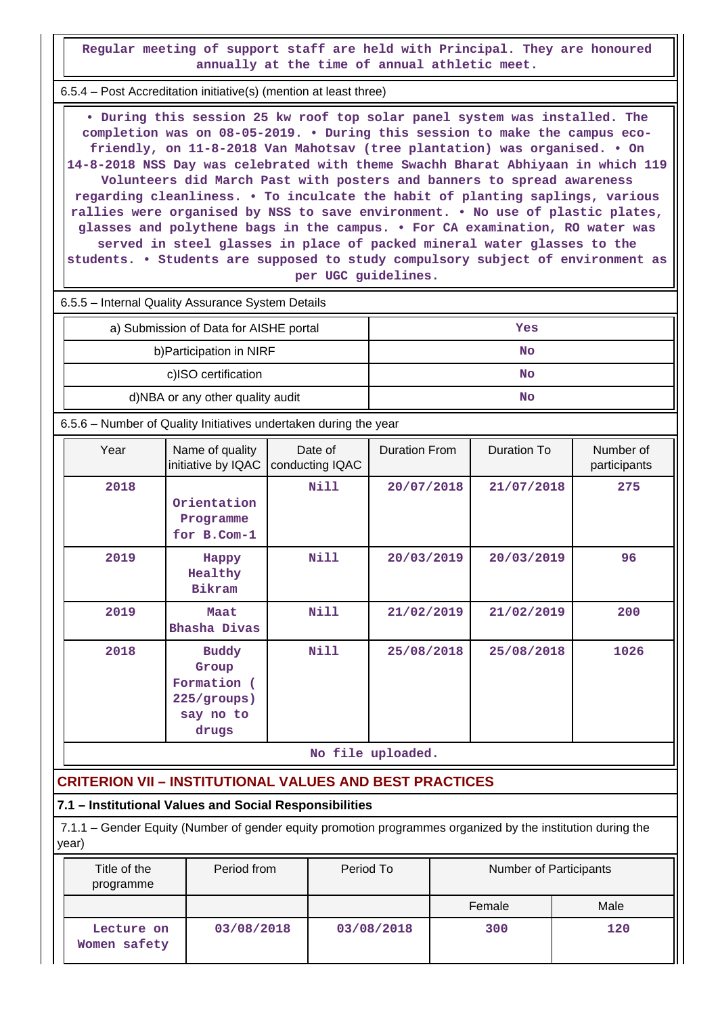**Regular meeting of support staff are held with Principal. They are honoured annually at the time of annual athletic meet.**

6.5.4 – Post Accreditation initiative(s) (mention at least three)

 **• During this session 25 kw roof top solar panel system was installed. The completion was on 08-05-2019. • During this session to make the campus ecofriendly, on 11-8-2018 Van Mahotsav (tree plantation) was organised. • On 14-8-2018 NSS Day was celebrated with theme Swachh Bharat Abhiyaan in which 119 Volunteers did March Past with posters and banners to spread awareness regarding cleanliness. • To inculcate the habit of planting saplings, various rallies were organised by NSS to save environment. • No use of plastic plates, glasses and polythene bags in the campus. • For CA examination, RO water was served in steel glasses in place of packed mineral water glasses to the students. • Students are supposed to study compulsory subject of environment as per UGC guidelines.**

6.5.5 – Internal Quality Assurance System Details

| a) Submission of Data for AISHE portal | Yes |
|----------------------------------------|-----|
| b) Participation in NIRF               | No  |
| c)ISO certification                    | No  |
| d)NBA or any other quality audit       | No  |

6.5.6 – Number of Quality Initiatives undertaken during the year

| Year              | Name of quality<br>initiative by IQAC                                     | Date of<br>conducting IQAC | Duration From | Duration To | Number of<br>participants |  |  |  |
|-------------------|---------------------------------------------------------------------------|----------------------------|---------------|-------------|---------------------------|--|--|--|
| 2018              | Orientation<br>Programme<br>for B.Com-1                                   | Nill                       | 20/07/2018    | 21/07/2018  | 275                       |  |  |  |
| 2019              | Happy<br>Healthy<br><b>Bikram</b>                                         | Nill                       | 20/03/2019    | 20/03/2019  | 96                        |  |  |  |
| 2019              | Maat<br>Bhasha Divas                                                      | Nill                       | 21/02/2019    | 21/02/2019  | 200                       |  |  |  |
| 2018              | <b>Buddy</b><br>Group<br>Formation (<br>225/groups)<br>say no to<br>drugs | Nill                       | 25/08/2018    | 25/08/2018  | 1026                      |  |  |  |
| No file uploaded. |                                                                           |                            |               |             |                           |  |  |  |

# **CRITERION VII – INSTITUTIONAL VALUES AND BEST PRACTICES**

### **7.1 – Institutional Values and Social Responsibilities**

 7.1.1 – Gender Equity (Number of gender equity promotion programmes organized by the institution during the year)

| Title of the<br>programme  | Period from | Period To  | Number of Participants |      |
|----------------------------|-------------|------------|------------------------|------|
|                            |             |            | Female                 | Male |
| Lecture on<br>Women safety | 03/08/2018  | 03/08/2018 | 300                    | 120  |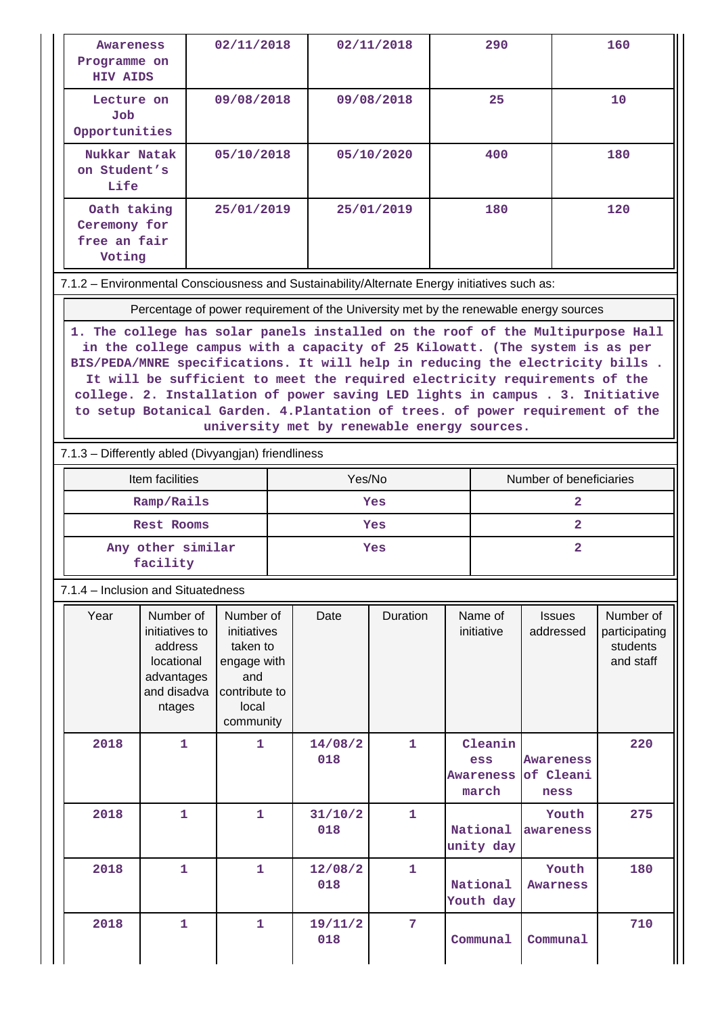| <b>Awareness</b><br>Programme on<br><b>HIV AIDS</b>                                                                                                                                                                                                                                                                                                                                                                                                          |                                                                                             | 02/11/2018                                                                                        |     |                | 02/11/2018   |          | 290                                         |                                                                                       | 160                                                 |  |
|--------------------------------------------------------------------------------------------------------------------------------------------------------------------------------------------------------------------------------------------------------------------------------------------------------------------------------------------------------------------------------------------------------------------------------------------------------------|---------------------------------------------------------------------------------------------|---------------------------------------------------------------------------------------------------|-----|----------------|--------------|----------|---------------------------------------------|---------------------------------------------------------------------------------------|-----------------------------------------------------|--|
| Lecture on<br>Job<br>Opportunities                                                                                                                                                                                                                                                                                                                                                                                                                           |                                                                                             | 09/08/2018                                                                                        |     |                | 09/08/2018   |          | 25                                          |                                                                                       | 10                                                  |  |
| Nukkar Natak<br>on Student's<br>Life                                                                                                                                                                                                                                                                                                                                                                                                                         |                                                                                             | 05/10/2018                                                                                        |     | 05/10/2020     |              | 400      |                                             | 180                                                                                   |                                                     |  |
| Oath taking<br>25/01/2019<br>Ceremony for<br>free an fair<br>Voting                                                                                                                                                                                                                                                                                                                                                                                          |                                                                                             |                                                                                                   |     | 25/01/2019     |              | 180      |                                             | 120                                                                                   |                                                     |  |
| 7.1.2 - Environmental Consciousness and Sustainability/Alternate Energy initiatives such as:                                                                                                                                                                                                                                                                                                                                                                 |                                                                                             |                                                                                                   |     |                |              |          |                                             |                                                                                       |                                                     |  |
|                                                                                                                                                                                                                                                                                                                                                                                                                                                              |                                                                                             |                                                                                                   |     |                |              |          |                                             | Percentage of power requirement of the University met by the renewable energy sources |                                                     |  |
| in the college campus with a capacity of 25 Kilowatt. (The system is as per<br>BIS/PEDA/MNRE specifications. It will help in reducing the electricity bills.<br>It will be sufficient to meet the required electricity requirements of the<br>college. 2. Installation of power saving LED lights in campus . 3. Initiative<br>to setup Botanical Garden. 4. Plantation of trees. of power requirement of the<br>university met by renewable energy sources. |                                                                                             |                                                                                                   |     |                |              |          |                                             |                                                                                       |                                                     |  |
| 7.1.3 - Differently abled (Divyangjan) friendliness<br>Number of beneficiaries                                                                                                                                                                                                                                                                                                                                                                               |                                                                                             |                                                                                                   |     |                |              |          |                                             |                                                                                       |                                                     |  |
| Item facilities<br>Yes/No<br>Ramp/Rails<br>Yes                                                                                                                                                                                                                                                                                                                                                                                                               |                                                                                             |                                                                                                   |     |                |              | 2        |                                             |                                                                                       |                                                     |  |
| <b>Rest Rooms</b>                                                                                                                                                                                                                                                                                                                                                                                                                                            |                                                                                             |                                                                                                   |     | Yes            |              |          |                                             | $\overline{2}$                                                                        |                                                     |  |
|                                                                                                                                                                                                                                                                                                                                                                                                                                                              | Any other similar<br>facility                                                               |                                                                                                   | Yes |                |              |          |                                             | $\overline{a}$                                                                        |                                                     |  |
|                                                                                                                                                                                                                                                                                                                                                                                                                                                              | 7.1.4 – Inclusion and Situatedness                                                          |                                                                                                   |     |                |              |          |                                             |                                                                                       |                                                     |  |
| Year                                                                                                                                                                                                                                                                                                                                                                                                                                                         | Number of<br>initiatives to<br>address<br>locational<br>advantages<br>and disadva<br>ntages | Number of<br>initiatives<br>taken to<br>engage with<br>and<br>contribute to<br>local<br>community |     | Date           | Duration     |          | Name of<br>initiative                       | <b>Issues</b><br>addressed                                                            | Number of<br>participating<br>students<br>and staff |  |
| 2018                                                                                                                                                                                                                                                                                                                                                                                                                                                         | 1                                                                                           | 1                                                                                                 |     | 14/08/2<br>018 | $\mathbf{1}$ |          | Cleanin<br>ess<br><b>Awareness</b><br>march | <b>Awareness</b><br>of Cleani<br>ness                                                 | 220                                                 |  |
| 2018                                                                                                                                                                                                                                                                                                                                                                                                                                                         | 1                                                                                           | 1                                                                                                 |     | 31/10/2<br>018 | 1            |          | National<br>unity day                       | Youth<br>awareness                                                                    | 275                                                 |  |
| 2018                                                                                                                                                                                                                                                                                                                                                                                                                                                         | $\mathbf{1}$                                                                                | $\mathbf{1}$                                                                                      |     | 12/08/2<br>018 | $\mathbf{1}$ |          | National<br>Youth day                       | Youth<br><b>Awarness</b>                                                              | 180                                                 |  |
| 2018                                                                                                                                                                                                                                                                                                                                                                                                                                                         | 1                                                                                           | 1                                                                                                 |     | 19/11/2<br>018 | 7            | Communal |                                             | Communal                                                                              | 710                                                 |  |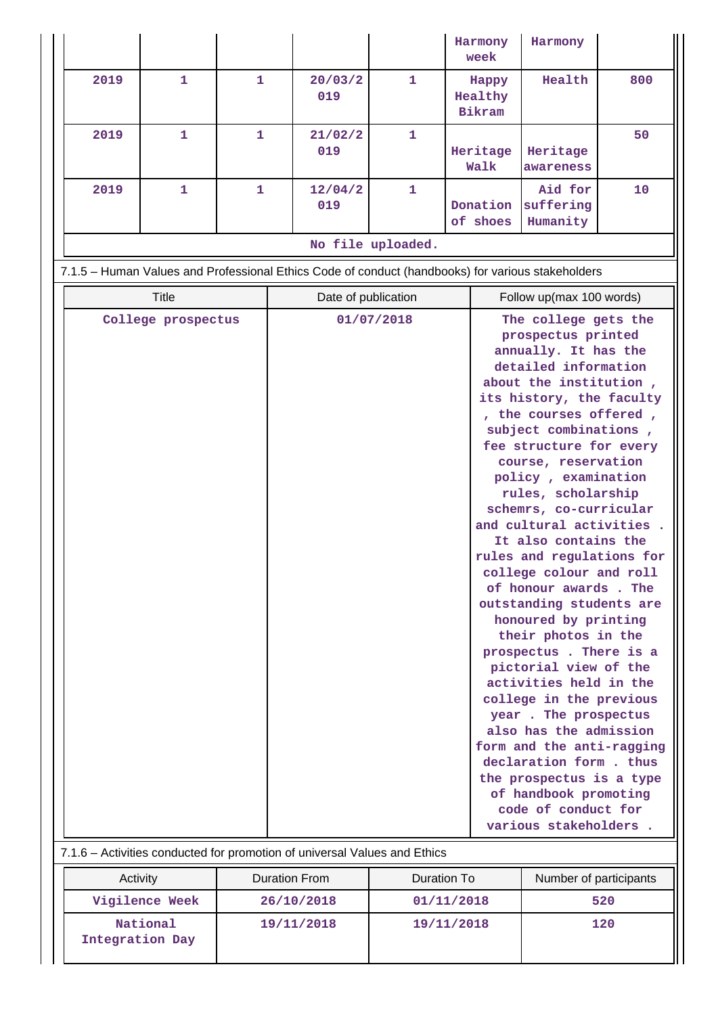|                   |                    |              |                                                                                                   |                                        |  | Harmony<br>week            | Harmony                                                                                                                                                                                                                                                                                                                                                                                                                                                                                                                                                                                                                                                                                                                                                                                                                                                            |     |
|-------------------|--------------------|--------------|---------------------------------------------------------------------------------------------------|----------------------------------------|--|----------------------------|--------------------------------------------------------------------------------------------------------------------------------------------------------------------------------------------------------------------------------------------------------------------------------------------------------------------------------------------------------------------------------------------------------------------------------------------------------------------------------------------------------------------------------------------------------------------------------------------------------------------------------------------------------------------------------------------------------------------------------------------------------------------------------------------------------------------------------------------------------------------|-----|
| 2019              | 1                  | $\mathbf{1}$ | 20/03/2<br>019                                                                                    | $\mathbf{1}$                           |  | Happy<br>Healthy<br>Bikram | Health                                                                                                                                                                                                                                                                                                                                                                                                                                                                                                                                                                                                                                                                                                                                                                                                                                                             | 800 |
| 2019              | 1                  | 1            | 21/02/2<br>019                                                                                    | 1                                      |  | Heritage<br>Walk           | Heritage<br>awareness                                                                                                                                                                                                                                                                                                                                                                                                                                                                                                                                                                                                                                                                                                                                                                                                                                              | 50  |
| 2019              | 1                  | 1            | 12/04/2<br>019                                                                                    | 1                                      |  | Donation<br>of shoes       | Aid for<br>suffering<br>Humanity                                                                                                                                                                                                                                                                                                                                                                                                                                                                                                                                                                                                                                                                                                                                                                                                                                   | 10  |
| No file uploaded. |                    |              |                                                                                                   |                                        |  |                            |                                                                                                                                                                                                                                                                                                                                                                                                                                                                                                                                                                                                                                                                                                                                                                                                                                                                    |     |
|                   |                    |              | 7.1.5 - Human Values and Professional Ethics Code of conduct (handbooks) for various stakeholders |                                        |  |                            |                                                                                                                                                                                                                                                                                                                                                                                                                                                                                                                                                                                                                                                                                                                                                                                                                                                                    |     |
|                   | <b>Title</b>       |              |                                                                                                   | Date of publication                    |  |                            | Follow up(max 100 words)                                                                                                                                                                                                                                                                                                                                                                                                                                                                                                                                                                                                                                                                                                                                                                                                                                           |     |
|                   | College prospectus |              | 7.1.6 - Activities conducted for promotion of universal Values and Ethics                         | 01/07/2018                             |  |                            | The college gets the<br>prospectus printed<br>annually. It has the<br>detailed information<br>about the institution,<br>its history, the faculty<br>, the courses offered,<br>subject combinations,<br>fee structure for every<br>course, reservation<br>policy, examination<br>rules, scholarship<br>schemrs, co-curricular<br>and cultural activities.<br>It also contains the<br>rules and regulations for<br>college colour and roll<br>of honour awards. The<br>outstanding students are<br>honoured by printing<br>their photos in the<br>prospectus. There is a<br>pictorial view of the<br>activities held in the<br>college in the previous<br>year. The prospectus<br>also has the admission<br>form and the anti-ragging<br>declaration form. thus<br>the prospectus is a type<br>of handbook promoting<br>code of conduct for<br>various stakeholders. |     |
| Activity          |                    |              | <b>Duration From</b>                                                                              | Duration To                            |  |                            | Number of participants                                                                                                                                                                                                                                                                                                                                                                                                                                                                                                                                                                                                                                                                                                                                                                                                                                             |     |
|                   | Vigilence Week     |              | 26/10/2018                                                                                        |                                        |  |                            |                                                                                                                                                                                                                                                                                                                                                                                                                                                                                                                                                                                                                                                                                                                                                                                                                                                                    |     |
| Integration Day   | National           |              | 19/11/2018                                                                                        | 01/11/2018<br>520<br>120<br>19/11/2018 |  |                            |                                                                                                                                                                                                                                                                                                                                                                                                                                                                                                                                                                                                                                                                                                                                                                                                                                                                    |     |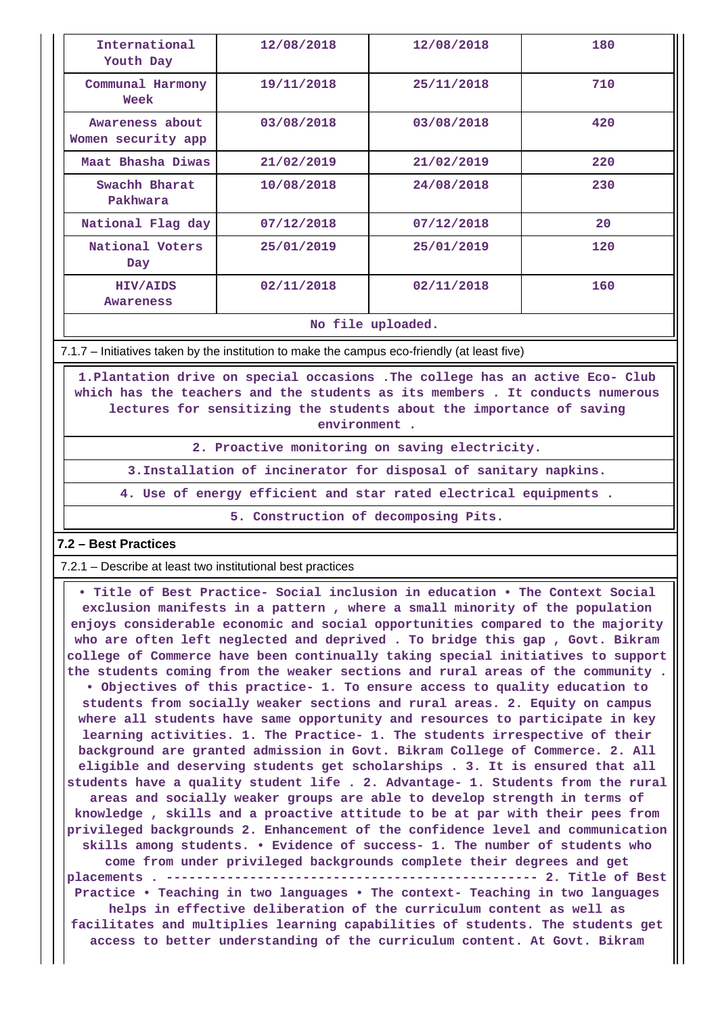| International<br>Youth Day            | 12/08/2018 | 12/08/2018 | 180 |
|---------------------------------------|------------|------------|-----|
| Communal Harmony<br>Week              | 19/11/2018 | 25/11/2018 | 710 |
| Awareness about<br>Women security app | 03/08/2018 | 03/08/2018 | 420 |
| Maat Bhasha Diwas                     | 21/02/2019 | 21/02/2019 | 220 |
| Swachh Bharat<br>Pakhwara             | 10/08/2018 | 24/08/2018 | 230 |
| National Flag day                     | 07/12/2018 | 07/12/2018 | 20  |
| National Voters<br>Day                | 25/01/2019 | 25/01/2019 | 120 |
| HIV/AIDS<br><b>Awareness</b>          | 02/11/2018 | 02/11/2018 | 160 |
|                                       |            | .          |     |

**No file uploaded.**

7.1.7 – Initiatives taken by the institution to make the campus eco-friendly (at least five)

 **1.Plantation drive on special occasions .The college has an active Eco- Club which has the teachers and the students as its members . It conducts numerous lectures for sensitizing the students about the importance of saving environment .**

**2. Proactive monitoring on saving electricity.**

**3.Installation of incinerator for disposal of sanitary napkins.**

**4. Use of energy efficient and star rated electrical equipments .**

**5. Construction of decomposing Pits.**

# **7.2 – Best Practices**

7.2.1 – Describe at least two institutional best practices

 **• Title of Best Practice- Social inclusion in education • The Context Social exclusion manifests in a pattern , where a small minority of the population enjoys considerable economic and social opportunities compared to the majority who are often left neglected and deprived . To bridge this gap , Govt. Bikram college of Commerce have been continually taking special initiatives to support the students coming from the weaker sections and rural areas of the community . • Objectives of this practice- 1. To ensure access to quality education to students from socially weaker sections and rural areas. 2. Equity on campus where all students have same opportunity and resources to participate in key learning activities. 1. The Practice- 1. The students irrespective of their background are granted admission in Govt. Bikram College of Commerce. 2. All eligible and deserving students get scholarships . 3. It is ensured that all students have a quality student life . 2. Advantage- 1. Students from the rural areas and socially weaker groups are able to develop strength in terms of knowledge , skills and a proactive attitude to be at par with their pees from privileged backgrounds 2. Enhancement of the confidence level and communication skills among students. • Evidence of success- 1. The number of students who come from under privileged backgrounds complete their degrees and get placements . ------------------------------------------------- 2. Title of Best Practice • Teaching in two languages • The context- Teaching in two languages helps in effective deliberation of the curriculum content as well as facilitates and multiplies learning capabilities of students. The students get access to better understanding of the curriculum content. At Govt. Bikram**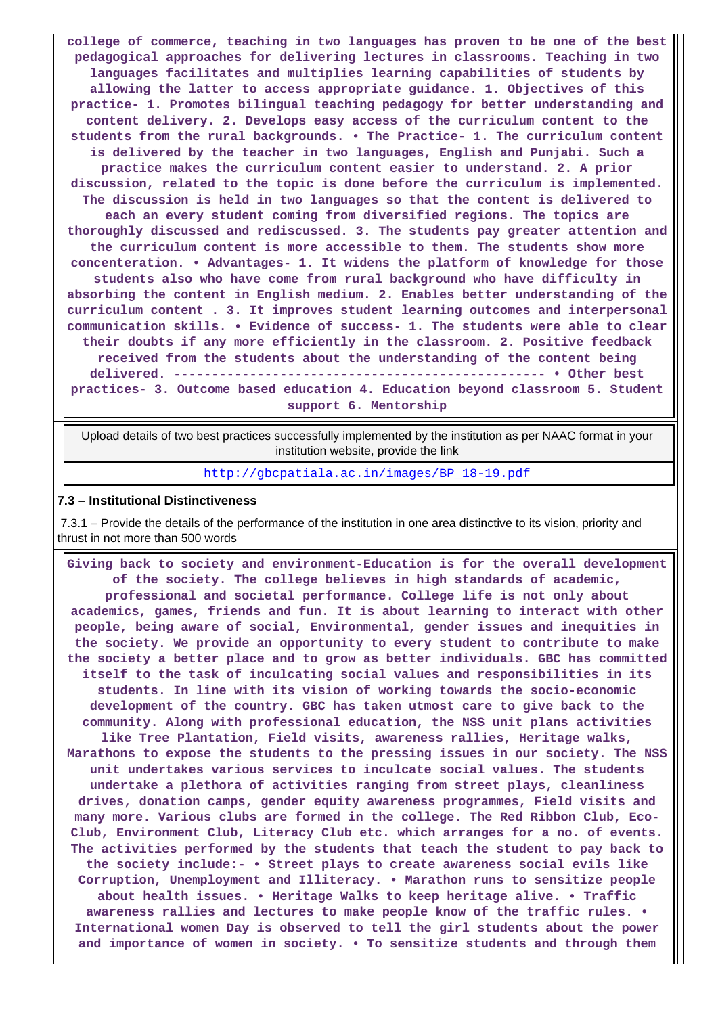**college of commerce, teaching in two languages has proven to be one of the best pedagogical approaches for delivering lectures in classrooms. Teaching in two languages facilitates and multiplies learning capabilities of students by allowing the latter to access appropriate guidance. 1. Objectives of this practice- 1. Promotes bilingual teaching pedagogy for better understanding and content delivery. 2. Develops easy access of the curriculum content to the students from the rural backgrounds. • The Practice- 1. The curriculum content is delivered by the teacher in two languages, English and Punjabi. Such a practice makes the curriculum content easier to understand. 2. A prior discussion, related to the topic is done before the curriculum is implemented. The discussion is held in two languages so that the content is delivered to each an every student coming from diversified regions. The topics are thoroughly discussed and rediscussed. 3. The students pay greater attention and the curriculum content is more accessible to them. The students show more concenteration. • Advantages- 1. It widens the platform of knowledge for those students also who have come from rural background who have difficulty in absorbing the content in English medium. 2. Enables better understanding of the curriculum content . 3. It improves student learning outcomes and interpersonal communication skills. • Evidence of success- 1. The students were able to clear their doubts if any more efficiently in the classroom. 2. Positive feedback received from the students about the understanding of the content being delivered. ------------------------------------------------- • Other best practices- 3. Outcome based education 4. Education beyond classroom 5. Student support 6. Mentorship**

 Upload details of two best practices successfully implemented by the institution as per NAAC format in your institution website, provide the link

[http://gbcpatiala.ac.in/images/BP\\_18-19.pdf](http://gbcpatiala.ac.in/images/BP_18-19.pdf)

#### **7.3 – Institutional Distinctiveness**

 7.3.1 – Provide the details of the performance of the institution in one area distinctive to its vision, priority and thrust in not more than 500 words

 **Giving back to society and environment-Education is for the overall development of the society. The college believes in high standards of academic, professional and societal performance. College life is not only about academics, games, friends and fun. It is about learning to interact with other people, being aware of social, Environmental, gender issues and inequities in the society. We provide an opportunity to every student to contribute to make the society a better place and to grow as better individuals. GBC has committed itself to the task of inculcating social values and responsibilities in its students. In line with its vision of working towards the socio-economic development of the country. GBC has taken utmost care to give back to the community. Along with professional education, the NSS unit plans activities like Tree Plantation, Field visits, awareness rallies, Heritage walks, Marathons to expose the students to the pressing issues in our society. The NSS unit undertakes various services to inculcate social values. The students undertake a plethora of activities ranging from street plays, cleanliness drives, donation camps, gender equity awareness programmes, Field visits and many more. Various clubs are formed in the college. The Red Ribbon Club, Eco-Club, Environment Club, Literacy Club etc. which arranges for a no. of events. The activities performed by the students that teach the student to pay back to the society include:- • Street plays to create awareness social evils like Corruption, Unemployment and Illiteracy. • Marathon runs to sensitize people about health issues. • Heritage Walks to keep heritage alive. • Traffic awareness rallies and lectures to make people know of the traffic rules. • International women Day is observed to tell the girl students about the power and importance of women in society. • To sensitize students and through them**